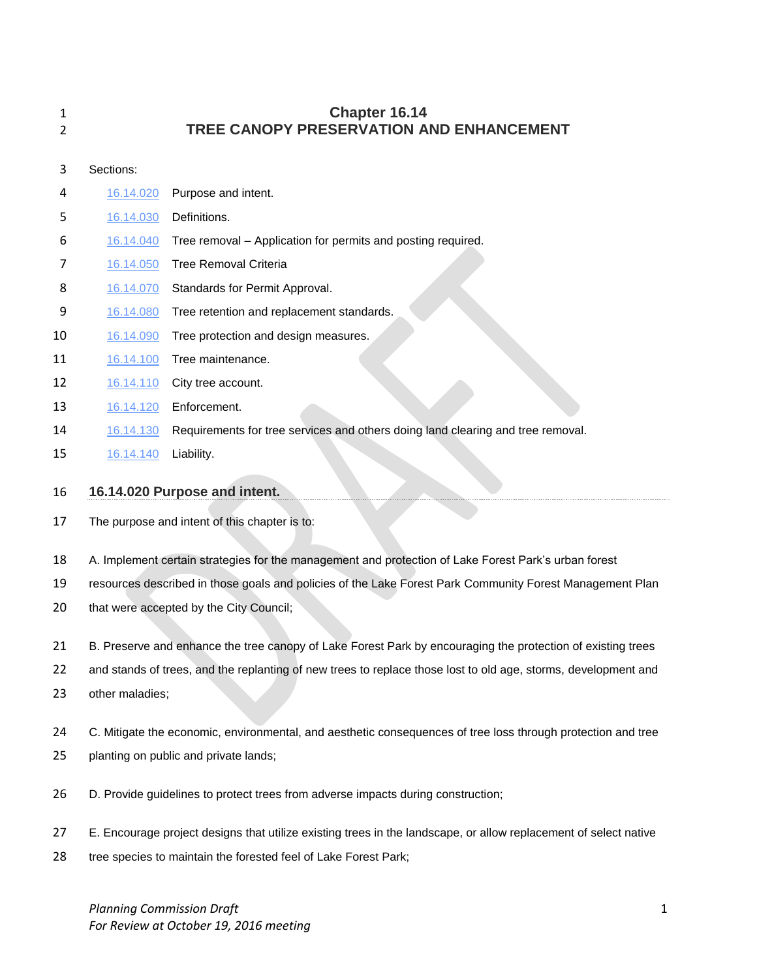| 1<br>2 |           | Chapter 16.14<br>TREE CANOPY PRESERVATION AND ENHANCEMENT                                                      |
|--------|-----------|----------------------------------------------------------------------------------------------------------------|
| 3      | Sections: |                                                                                                                |
| 4      | 16.14.020 | Purpose and intent.                                                                                            |
| 5      | 16.14.030 | Definitions.                                                                                                   |
| 6      | 16.14.040 | Tree removal - Application for permits and posting required.                                                   |
| 7      | 16.14.050 | <b>Tree Removal Criteria</b>                                                                                   |
| 8      | 16.14.070 | Standards for Permit Approval.                                                                                 |
| 9      | 16.14.080 | Tree retention and replacement standards.                                                                      |
| 10     | 16.14.090 | Tree protection and design measures.                                                                           |
| 11     | 16.14.100 | Tree maintenance.                                                                                              |
| 12     | 16.14.110 | City tree account.                                                                                             |
| 13     | 16.14.120 | Enforcement.                                                                                                   |
| 14     | 16.14.130 | Requirements for tree services and others doing land clearing and tree removal.                                |
| 15     | 16.14.140 | Liability.                                                                                                     |
| 16     |           | 16.14.020 Purpose and intent.                                                                                  |
| 17     |           | The purpose and intent of this chapter is to:                                                                  |
| 18     |           | A. Implement certain strategies for the management and protection of Lake Forest Park's urban forest           |
| 19     |           | resources described in those goals and policies of the Lake Forest Park Community Forest Management Plan       |
| 20     |           | that were accepted by the City Council;                                                                        |
| 21     |           | B. Preserve and enhance the tree canopy of Lake Forest Park by encouraging the protection of existing trees    |
| 22     |           | and stands of trees, and the replanting of new trees to replace those lost to old age, storms, development and |

- other maladies;
- 24 C. Mitigate the economic, environmental, and aesthetic consequences of tree loss through protection and tree
- planting on public and private lands;
- D. Provide guidelines to protect trees from adverse impacts during construction;
- E. Encourage project designs that utilize existing trees in the landscape, or allow replacement of select native
- tree species to maintain the forested feel of Lake Forest Park;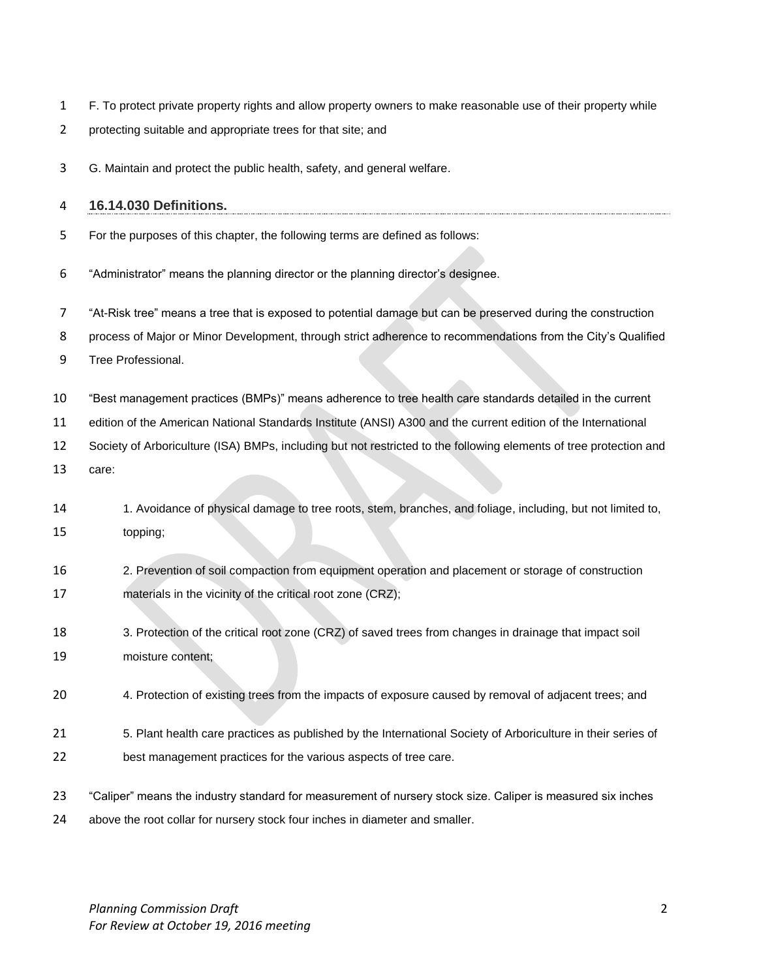- F. To protect private property rights and allow property owners to make reasonable use of their property while
- protecting suitable and appropriate trees for that site; and
- G. Maintain and protect the public health, safety, and general welfare.

## **16.14.030 Definitions.**

- For the purposes of this chapter, the following terms are defined as follows:
- "Administrator" means the planning director or the planning director's designee.
- "At-Risk tree" means a tree that is exposed to potential damage but can be preserved during the construction
- process of Major or Minor Development, through strict adherence to recommendations from the City's Qualified
- Tree Professional.
- "Best management practices (BMPs)" means adherence to tree health care standards detailed in the current
- edition of the American National Standards Institute (ANSI) A300 and the current edition of the International
- Society of Arboriculture (ISA) BMPs, including but not restricted to the following elements of tree protection and
- care:
- 1. Avoidance of physical damage to tree roots, stem, branches, and foliage, including, but not limited to, topping;
- 2. Prevention of soil compaction from equipment operation and placement or storage of construction materials in the vicinity of the critical root zone (CRZ);
- 3. Protection of the critical root zone (CRZ) of saved trees from changes in drainage that impact soil moisture content;
- 4. Protection of existing trees from the impacts of exposure caused by removal of adjacent trees; and
- 5. Plant health care practices as published by the International Society of Arboriculture in their series of best management practices for the various aspects of tree care.
- "Caliper" means the industry standard for measurement of nursery stock size. Caliper is measured six inches above the root collar for nursery stock four inches in diameter and smaller.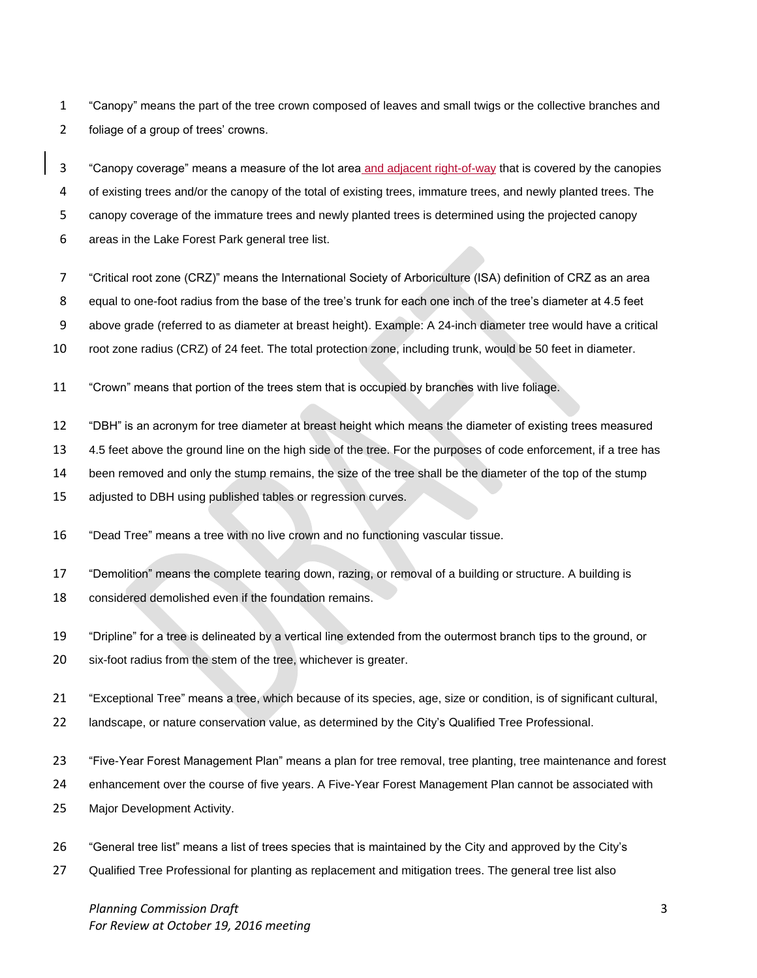"Canopy" means the part of the tree crown composed of leaves and small twigs or the collective branches and foliage of a group of trees' crowns.

 "Canopy coverage" means a measure of the lot area and adjacent right-of-way that is covered by the canopies of existing trees and/or the canopy of the total of existing trees, immature trees, and newly planted trees. The canopy coverage of the immature trees and newly planted trees is determined using the projected canopy areas in the Lake Forest Park general tree list.

- "Critical root zone (CRZ)" means the International Society of Arboriculture (ISA) definition of CRZ as an area
- equal to one-foot radius from the base of the tree's trunk for each one inch of the tree's diameter at 4.5 feet
- above grade (referred to as diameter at breast height). Example: A 24-inch diameter tree would have a critical
- root zone radius (CRZ) of 24 feet. The total protection zone, including trunk, would be 50 feet in diameter.
- "Crown" means that portion of the trees stem that is occupied by branches with live foliage.
- "DBH" is an acronym for tree diameter at breast height which means the diameter of existing trees measured
- 4.5 feet above the ground line on the high side of the tree. For the purposes of code enforcement, if a tree has
- been removed and only the stump remains, the size of the tree shall be the diameter of the top of the stump
- 15 adjusted to DBH using published tables or regression curves.
- "Dead Tree" means a tree with no live crown and no functioning vascular tissue.
- "Demolition" means the complete tearing down, razing, or removal of a building or structure. A building is
- considered demolished even if the foundation remains.
- "Dripline" for a tree is delineated by a vertical line extended from the outermost branch tips to the ground, or six-foot radius from the stem of the tree, whichever is greater.
- "Exceptional Tree" means a tree, which because of its species, age, size or condition, is of significant cultural,
- landscape, or nature conservation value, as determined by the City's Qualified Tree Professional.
- "Five-Year Forest Management Plan" means a plan for tree removal, tree planting, tree maintenance and forest
- enhancement over the course of five years. A Five-Year Forest Management Plan cannot be associated with
- Major Development Activity.
- "General tree list" means a list of trees species that is maintained by the City and approved by the City's
- Qualified Tree Professional for planting as replacement and mitigation trees. The general tree list also

*Planning Commission Draft* 3 *For Review at October 19, 2016 meeting*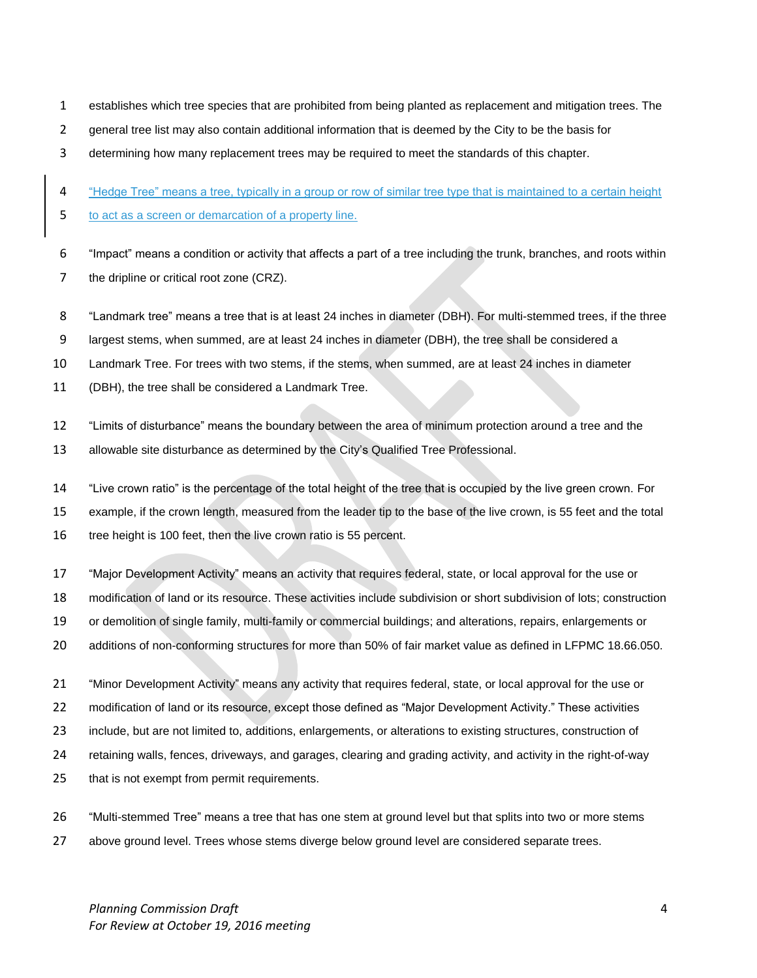- establishes which tree species that are prohibited from being planted as replacement and mitigation trees. The
- 2 general tree list may also contain additional information that is deemed by the City to be the basis for
- determining how many replacement trees may be required to meet the standards of this chapter.

"Hedge Tree" means a tree, typically in a group or row of similar tree type that is maintained to a certain height

- to act as a screen or demarcation of a property line.
- "Impact" means a condition or activity that affects a part of a tree including the trunk, branches, and roots within 7 the dripline or critical root zone (CRZ).
- "Landmark tree" means a tree that is at least 24 inches in diameter (DBH). For multi-stemmed trees, if the three
- largest stems, when summed, are at least 24 inches in diameter (DBH), the tree shall be considered a
- Landmark Tree. For trees with two stems, if the stems, when summed, are at least 24 inches in diameter
- (DBH), the tree shall be considered a Landmark Tree.
- "Limits of disturbance" means the boundary between the area of minimum protection around a tree and the
- allowable site disturbance as determined by the City's Qualified Tree Professional.
- "Live crown ratio" is the percentage of the total height of the tree that is occupied by the live green crown. For
- example, if the crown length, measured from the leader tip to the base of the live crown, is 55 feet and the total 16 tree height is 100 feet, then the live crown ratio is 55 percent.
- "Major Development Activity" means an activity that requires federal, state, or local approval for the use or
- modification of land or its resource. These activities include subdivision or short subdivision of lots; construction
- or demolition of single family, multi-family or commercial buildings; and alterations, repairs, enlargements or
- additions of non-conforming structures for more than 50% of fair market value as defined in LFPMC 18.66.050.
- "Minor Development Activity" means any activity that requires federal, state, or local approval for the use or modification of land or its resource, except those defined as "Major Development Activity." These activities include, but are not limited to, additions, enlargements, or alterations to existing structures, construction of retaining walls, fences, driveways, and garages, clearing and grading activity, and activity in the right-of-way that is not exempt from permit requirements.
- "Multi-stemmed Tree" means a tree that has one stem at ground level but that splits into two or more stems 27 above ground level. Trees whose stems diverge below ground level are considered separate trees.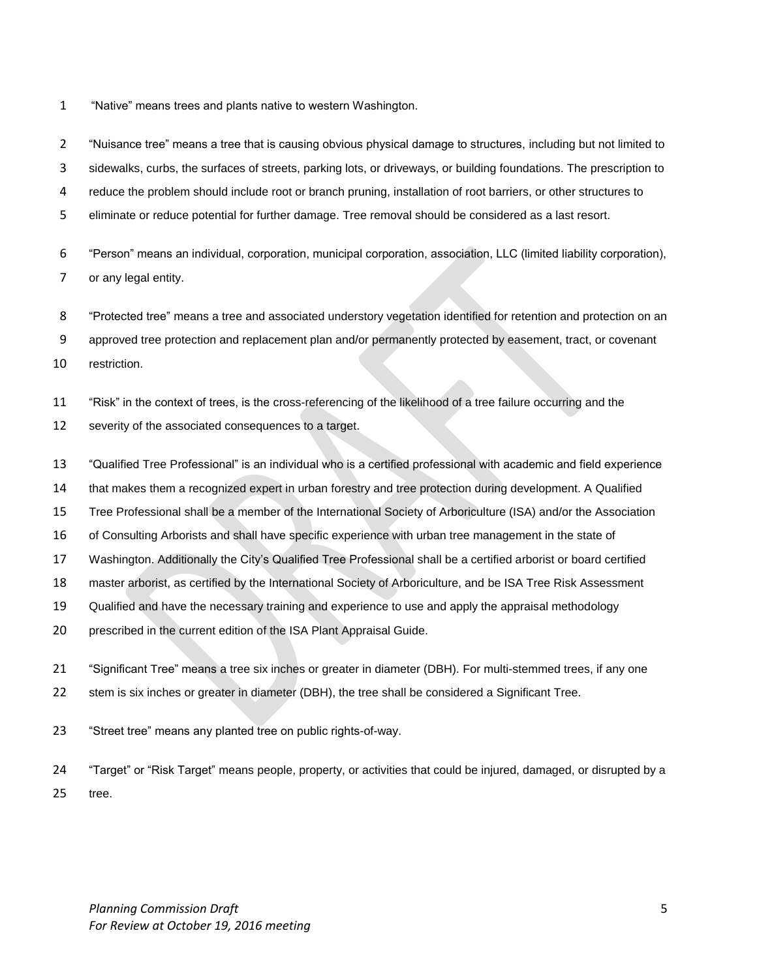"Native" means trees and plants native to western Washington.

 "Nuisance tree" means a tree that is causing obvious physical damage to structures, including but not limited to sidewalks, curbs, the surfaces of streets, parking lots, or driveways, or building foundations. The prescription to reduce the problem should include root or branch pruning, installation of root barriers, or other structures to

eliminate or reduce potential for further damage. Tree removal should be considered as a last resort.

 "Person" means an individual, corporation, municipal corporation, association, LLC (limited liability corporation), or any legal entity.

"Protected tree" means a tree and associated understory vegetation identified for retention and protection on an

approved tree protection and replacement plan and/or permanently protected by easement, tract, or covenant

restriction.

"Risk" in the context of trees, is the cross-referencing of the likelihood of a tree failure occurring and the

- severity of the associated consequences to a target.
- "Qualified Tree Professional" is an individual who is a certified professional with academic and field experience
- that makes them a recognized expert in urban forestry and tree protection during development. A Qualified
- Tree Professional shall be a member of the International Society of Arboriculture (ISA) and/or the Association

of Consulting Arborists and shall have specific experience with urban tree management in the state of

Washington. Additionally the City's Qualified Tree Professional shall be a certified arborist or board certified

master arborist, as certified by the International Society of Arboriculture, and be ISA Tree Risk Assessment

- Qualified and have the necessary training and experience to use and apply the appraisal methodology
- prescribed in the current edition of the ISA Plant Appraisal Guide.
- "Significant Tree" means a tree six inches or greater in diameter (DBH). For multi-stemmed trees, if any one 22 stem is six inches or greater in diameter (DBH), the tree shall be considered a Significant Tree.

"Street tree" means any planted tree on public rights-of-way.

 "Target" or "Risk Target" means people, property, or activities that could be injured, damaged, or disrupted by a tree.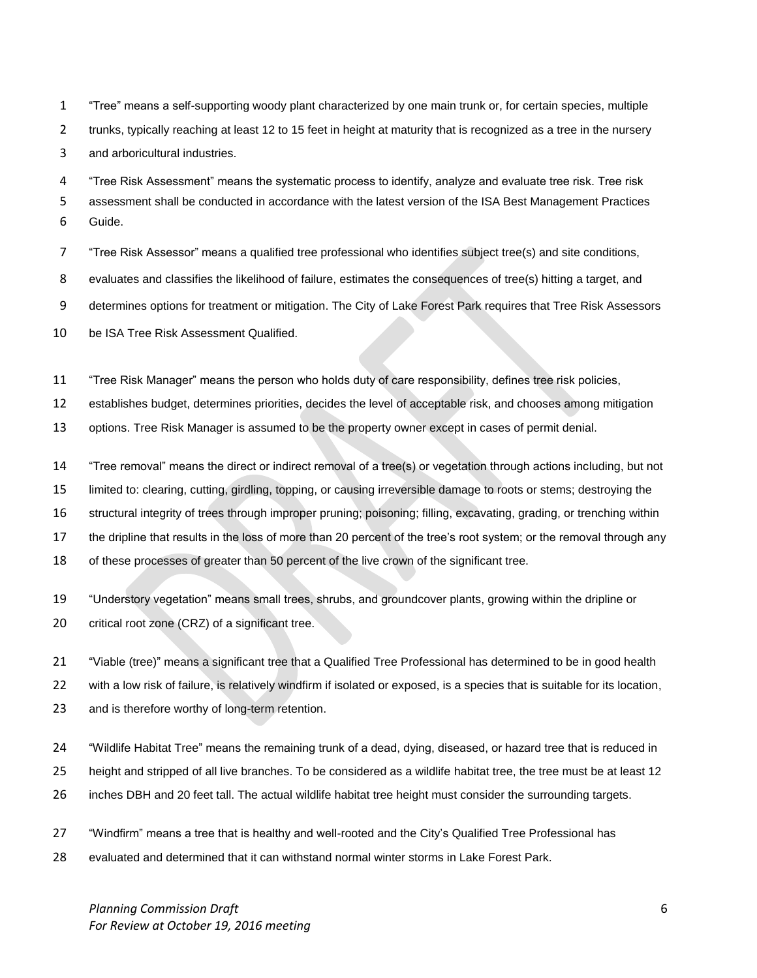"Tree" means a self-supporting woody plant characterized by one main trunk or, for certain species, multiple 2 trunks, typically reaching at least 12 to 15 feet in height at maturity that is recognized as a tree in the nursery and arboricultural industries.

 "Tree Risk Assessment" means the systematic process to identify, analyze and evaluate tree risk. Tree risk assessment shall be conducted in accordance with the latest version of the ISA Best Management Practices Guide.

"Tree Risk Assessor" means a qualified tree professional who identifies subject tree(s) and site conditions,

evaluates and classifies the likelihood of failure, estimates the consequences of tree(s) hitting a target, and

determines options for treatment or mitigation. The City of Lake Forest Park requires that Tree Risk Assessors

be ISA Tree Risk Assessment Qualified.

"Tree Risk Manager" means the person who holds duty of care responsibility, defines tree risk policies,

establishes budget, determines priorities, decides the level of acceptable risk, and chooses among mitigation

options. Tree Risk Manager is assumed to be the property owner except in cases of permit denial.

"Tree removal" means the direct or indirect removal of a tree(s) or vegetation through actions including, but not

limited to: clearing, cutting, girdling, topping, or causing irreversible damage to roots or stems; destroying the

structural integrity of trees through improper pruning; poisoning; filling, excavating, grading, or trenching within

the dripline that results in the loss of more than 20 percent of the tree's root system; or the removal through any

of these processes of greater than 50 percent of the live crown of the significant tree.

 "Understory vegetation" means small trees, shrubs, and groundcover plants, growing within the dripline or 20 critical root zone (CRZ) of a significant tree.

"Viable (tree)" means a significant tree that a Qualified Tree Professional has determined to be in good health

with a low risk of failure, is relatively windfirm if isolated or exposed, is a species that is suitable for its location,

and is therefore worthy of long-term retention.

"Wildlife Habitat Tree" means the remaining trunk of a dead, dying, diseased, or hazard tree that is reduced in

height and stripped of all live branches. To be considered as a wildlife habitat tree, the tree must be at least 12

inches DBH and 20 feet tall. The actual wildlife habitat tree height must consider the surrounding targets.

"Windfirm" means a tree that is healthy and well-rooted and the City's Qualified Tree Professional has

evaluated and determined that it can withstand normal winter storms in Lake Forest Park.

*Planning Commission Draft* 6 *For Review at October 19, 2016 meeting*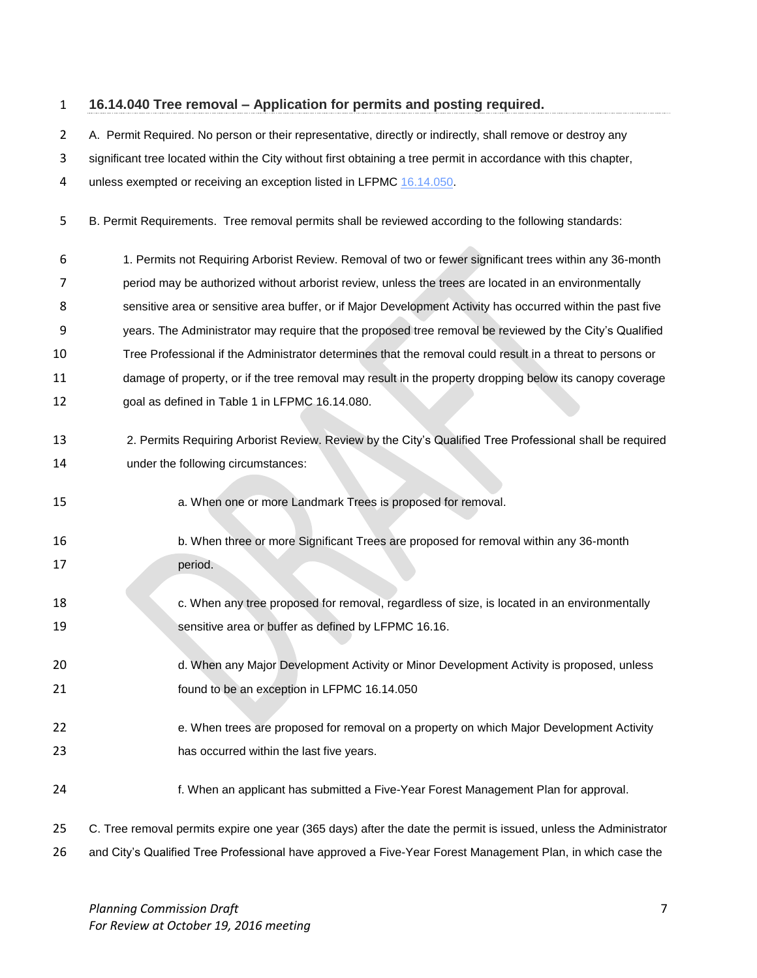# **16.14.040 Tree removal – Application for permits and posting required.**

A. Permit Required. No person or their representative, directly or indirectly, shall remove or destroy any

significant tree located within the City without first obtaining a tree permit in accordance with this chapter,

4 unless exempted or receiving an exception listed in LFPMC [16.14.050.](http://www.codepublishing.com/WA/LakeForestPark/html/LakeForestPark16/LakeForestPark1614.html#16.14.050)

- B. Permit Requirements. Tree removal permits shall be reviewed according to the following standards:
- 1. Permits not Requiring Arborist Review. Removal of two or fewer significant trees within any 36-month period may be authorized without arborist review, unless the trees are located in an environmentally sensitive area or sensitive area buffer, or if Major Development Activity has occurred within the past five years. The Administrator may require that the proposed tree removal be reviewed by the City's Qualified

Tree Professional if the Administrator determines that the removal could result in a threat to persons or

- damage of property, or if the tree removal may result in the property dropping below its canopy coverage
- goal as defined in Table 1 in LFPMC 16.14.080.
- 2. Permits Requiring Arborist Review. Review by the City's Qualified Tree Professional shall be required under the following circumstances:
- a. When one or more Landmark Trees is proposed for removal.
- b. When three or more Significant Trees are proposed for removal within any 36-month 17 period.
- **18 c.** When any tree proposed for removal, regardless of size, is located in an environmentally sensitive area or buffer as defined by LFPMC 16.16.
- d. When any Major Development Activity or Minor Development Activity is proposed, unless found to be an exception in LFPMC 16.14.050
- 22 e. When trees are proposed for removal on a property on which Major Development Activity has occurred within the last five years.
- f. When an applicant has submitted a Five-Year Forest Management Plan for approval.
- C. Tree removal permits expire one year (365 days) after the date the permit is issued, unless the Administrator
- and City's Qualified Tree Professional have approved a Five-Year Forest Management Plan, in which case the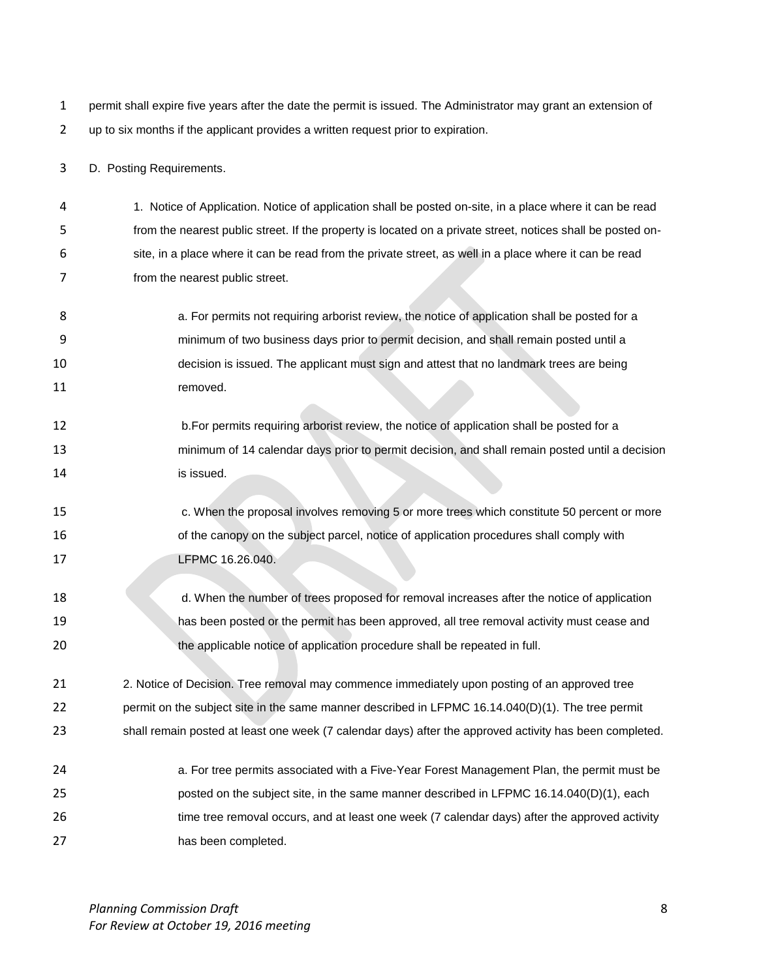permit shall expire five years after the date the permit is issued. The Administrator may grant an extension of up to six months if the applicant provides a written request prior to expiration.

D. Posting Requirements.

 1. Notice of Application. Notice of application shall be posted on-site, in a place where it can be read from the nearest public street. If the property is located on a private street, notices shall be posted on- site, in a place where it can be read from the private street, as well in a place where it can be read from the nearest public street.

- **8 a.** For permits not requiring arborist review, the notice of application shall be posted for a minimum of two business days prior to permit decision, and shall remain posted until a decision is issued. The applicant must sign and attest that no landmark trees are being 11 removed.
- b.For permits requiring arborist review, the notice of application shall be posted for a minimum of 14 calendar days prior to permit decision, and shall remain posted until a decision is issued.
- c. When the proposal involves removing 5 or more trees which constitute 50 percent or more 16 of the canopy on the subject parcel, notice of application procedures shall comply with **LEPMC** 16.26.040.
- d. When the number of trees proposed for removal increases after the notice of application has been posted or the permit has been approved, all tree removal activity must cease and the applicable notice of application procedure shall be repeated in full.
- 2. Notice of Decision. Tree removal may commence immediately upon posting of an approved tree 22 permit on the subject site in the same manner described in LFPMC 16.14.040(D)(1). The tree permit shall remain posted at least one week (7 calendar days) after the approved activity has been completed.
- **a.** For tree permits associated with a Five-Year Forest Management Plan, the permit must be posted on the subject site, in the same manner described in LFPMC 16.14.040(D)(1), each 26 time tree removal occurs, and at least one week (7 calendar days) after the approved activity has been completed.

*Planning Commission Draft* 8 *For Review at October 19, 2016 meeting*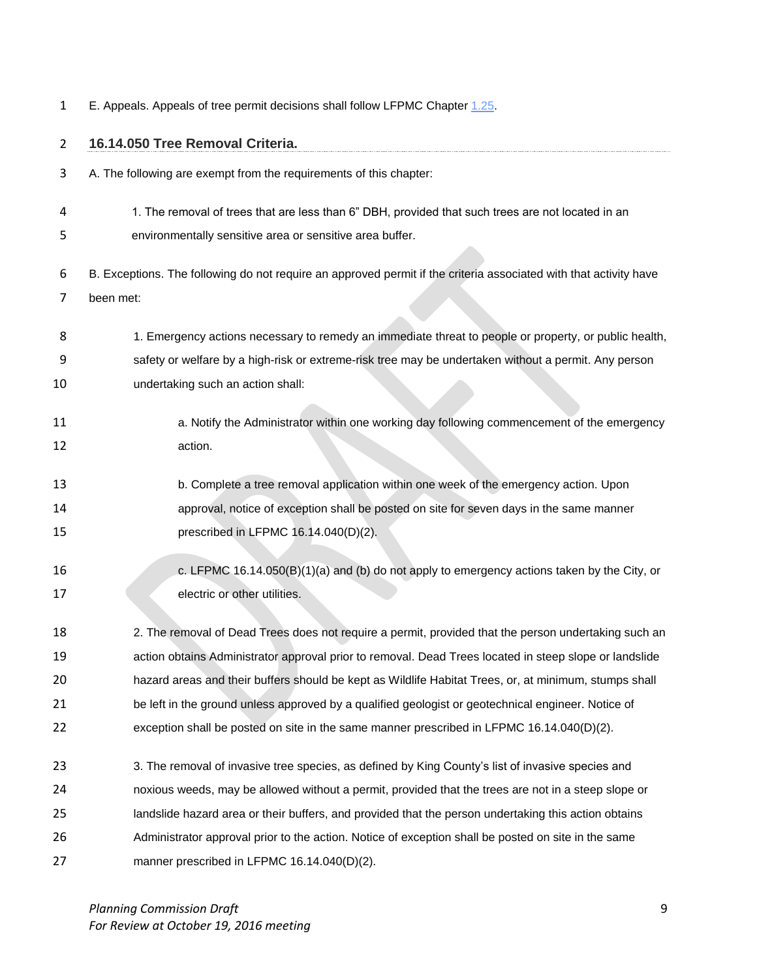1 E. Appeals. Appeals of tree permit decisions shall follow LFPMC Chapter [1.25.](http://www.codepublishing.com/WA/LakeForestPark/html/LakeForestPark02/LakeForestPark0239.html#2.39)

| $\overline{2}$ | 16.14.050 Tree Removal Criteria.                                                                                  |
|----------------|-------------------------------------------------------------------------------------------------------------------|
| 3              | A. The following are exempt from the requirements of this chapter:                                                |
| 4              | 1. The removal of trees that are less than 6" DBH, provided that such trees are not located in an                 |
| 5              | environmentally sensitive area or sensitive area buffer.                                                          |
| 6              | B. Exceptions. The following do not require an approved permit if the criteria associated with that activity have |
| 7              | been met:                                                                                                         |
| 8              | 1. Emergency actions necessary to remedy an immediate threat to people or property, or public health,             |
| 9              | safety or welfare by a high-risk or extreme-risk tree may be undertaken without a permit. Any person              |
| 10             | undertaking such an action shall:                                                                                 |
| 11             | a. Notify the Administrator within one working day following commencement of the emergency                        |
| 12             | action.                                                                                                           |
| 13             | b. Complete a tree removal application within one week of the emergency action. Upon                              |
| 14             | approval, notice of exception shall be posted on site for seven days in the same manner                           |
| 15             | prescribed in LFPMC 16.14.040(D)(2).                                                                              |
| 16             | c. LFPMC $16.14.050(B)(1)(a)$ and (b) do not apply to emergency actions taken by the City, or                     |
| 17             | electric or other utilities.                                                                                      |
| 18             | 2. The removal of Dead Trees does not require a permit, provided that the person undertaking such an              |
| 19             | action obtains Administrator approval prior to removal. Dead Trees located in steep slope or landslide            |
| 20             | hazard areas and their buffers should be kept as Wildlife Habitat Trees, or, at minimum, stumps shall             |
| 21             | be left in the ground unless approved by a qualified geologist or geotechnical engineer. Notice of                |
| 22             | exception shall be posted on site in the same manner prescribed in LFPMC $16.14.040(D)(2)$ .                      |
| 23             | 3. The removal of invasive tree species, as defined by King County's list of invasive species and                 |
| 24             | noxious weeds, may be allowed without a permit, provided that the trees are not in a steep slope or               |
| 25             | landslide hazard area or their buffers, and provided that the person undertaking this action obtains              |
| 26             | Administrator approval prior to the action. Notice of exception shall be posted on site in the same               |
| 27             | manner prescribed in LFPMC 16.14.040(D)(2).                                                                       |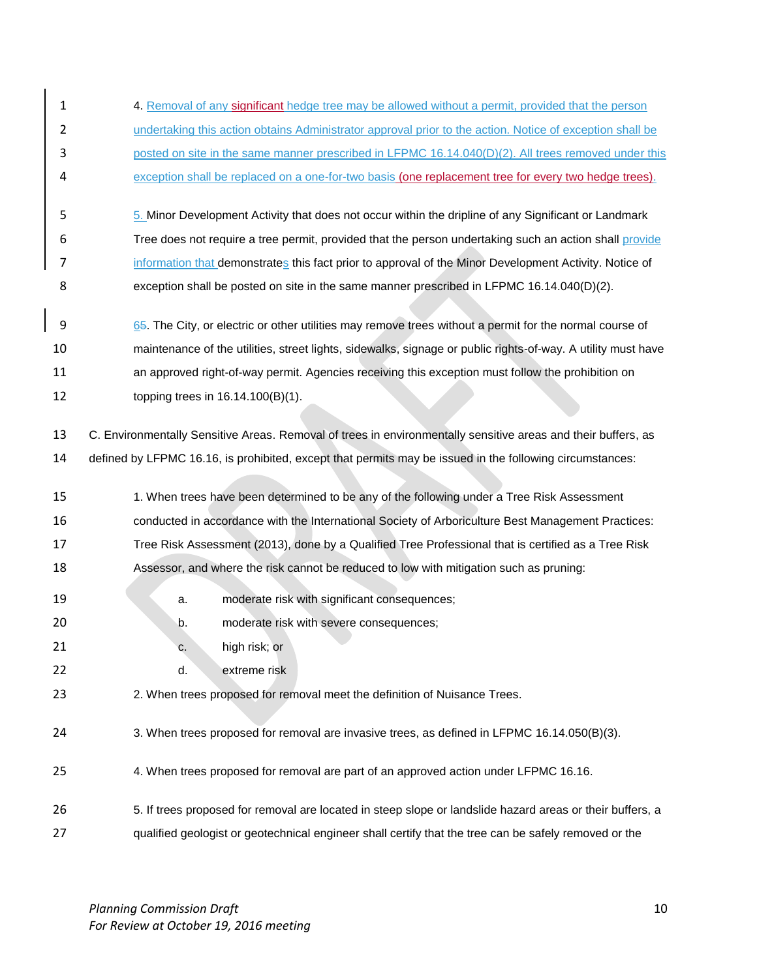1 4. Removal of any significant hedge tree may be allowed without a permit, provided that the person 2 undertaking this action obtains Administrator approval prior to the action. Notice of exception shall be posted on site in the same manner prescribed in LFPMC 16.14.040(D)(2). All trees removed under this 4 exception shall be replaced on a one-for-two basis (one replacement tree for every two hedge trees). 5. Minor Development Activity that does not occur within the dripline of any Significant or Landmark Tree does not require a tree permit, provided that the person undertaking such an action shall provide 7 information that demonstrates this fact prior to approval of the Minor Development Activity. Notice of exception shall be posted on site in the same manner prescribed in LFPMC 16.14.040(D)(2). 9 65. The City, or electric or other utilities may remove trees without a permit for the normal course of maintenance of the utilities, street lights, sidewalks, signage or public rights-of-way. A utility must have an approved right-of-way permit. Agencies receiving this exception must follow the prohibition on topping trees in 16.14.100(B)(1). C. Environmentally Sensitive Areas. Removal of trees in environmentally sensitive areas and their buffers, as defined by LFPMC 16.16, is prohibited, except that permits may be issued in the following circumstances: 15 1. When trees have been determined to be any of the following under a Tree Risk Assessment conducted in accordance with the International Society of Arboriculture Best Management Practices: Tree Risk Assessment (2013), done by a Qualified Tree Professional that is certified as a Tree Risk Assessor, and where the risk cannot be reduced to low with mitigation such as pruning: **a.** moderate risk with significant consequences; 20 b. moderate risk with severe consequences; 21 c. high risk; or d. extreme risk 2. When trees proposed for removal meet the definition of Nuisance Trees. 3. When trees proposed for removal are invasive trees, as defined in LFPMC 16.14.050(B)(3).

- 4. When trees proposed for removal are part of an approved action under LFPMC 16.16.
- 5. If trees proposed for removal are located in steep slope or landslide hazard areas or their buffers, a 27 qualified geologist or geotechnical engineer shall certify that the tree can be safely removed or the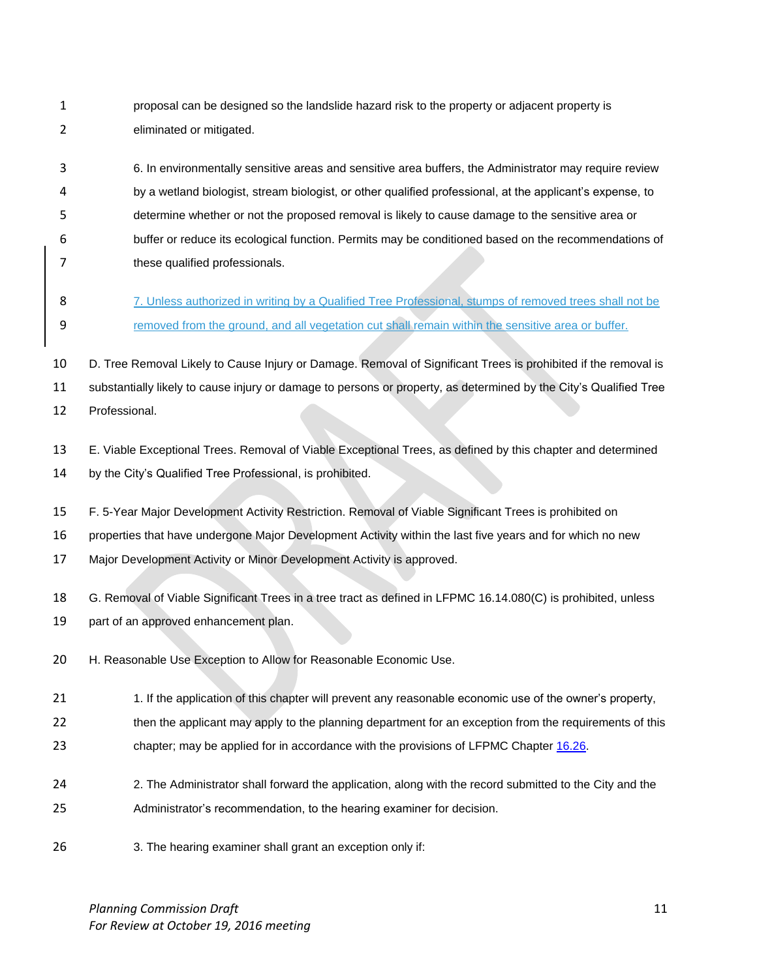- proposal can be designed so the landslide hazard risk to the property or adjacent property is eliminated or mitigated.
- 6. In environmentally sensitive areas and sensitive area buffers, the Administrator may require review by a wetland biologist, stream biologist, or other qualified professional, at the applicant's expense, to determine whether or not the proposed removal is likely to cause damage to the sensitive area or buffer or reduce its ecological function. Permits may be conditioned based on the recommendations of 7 these qualified professionals.
- 8 7. Unless authorized in writing by a Qualified Tree Professional, stumps of removed trees shall not be removed from the ground, and all vegetation cut shall remain within the sensitive area or buffer.

 D. Tree Removal Likely to Cause Injury or Damage. Removal of Significant Trees is prohibited if the removal is substantially likely to cause injury or damage to persons or property, as determined by the City's Qualified Tree

- Professional.
- E. Viable Exceptional Trees. Removal of Viable Exceptional Trees, as defined by this chapter and determined
- by the City's Qualified Tree Professional, is prohibited.
- F. 5-Year Major Development Activity Restriction. Removal of Viable Significant Trees is prohibited on
- properties that have undergone Major Development Activity within the last five years and for which no new
- Major Development Activity or Minor Development Activity is approved.
- G. Removal of Viable Significant Trees in a tree tract as defined in LFPMC 16.14.080(C) is prohibited, unless
- part of an approved enhancement plan.
- 20 H. Reasonable Use Exception to Allow for Reasonable Economic Use.
- 21 1. If the application of this chapter will prevent any reasonable economic use of the owner's property,
- 22 then the applicant may apply to the planning department for an exception from the requirements of this
- chapter; may be applied for in accordance with the provisions of LFPMC Chapter [16.26.](http://www.codepublishing.com/WA/LakeForestPark/html/LakeForestPark16/LakeForestPark1626.html#16.26)
- 24 24 2. The Administrator shall forward the application, along with the record submitted to the City and the Administrator's recommendation, to the hearing examiner for decision.
- 3. The hearing examiner shall grant an exception only if: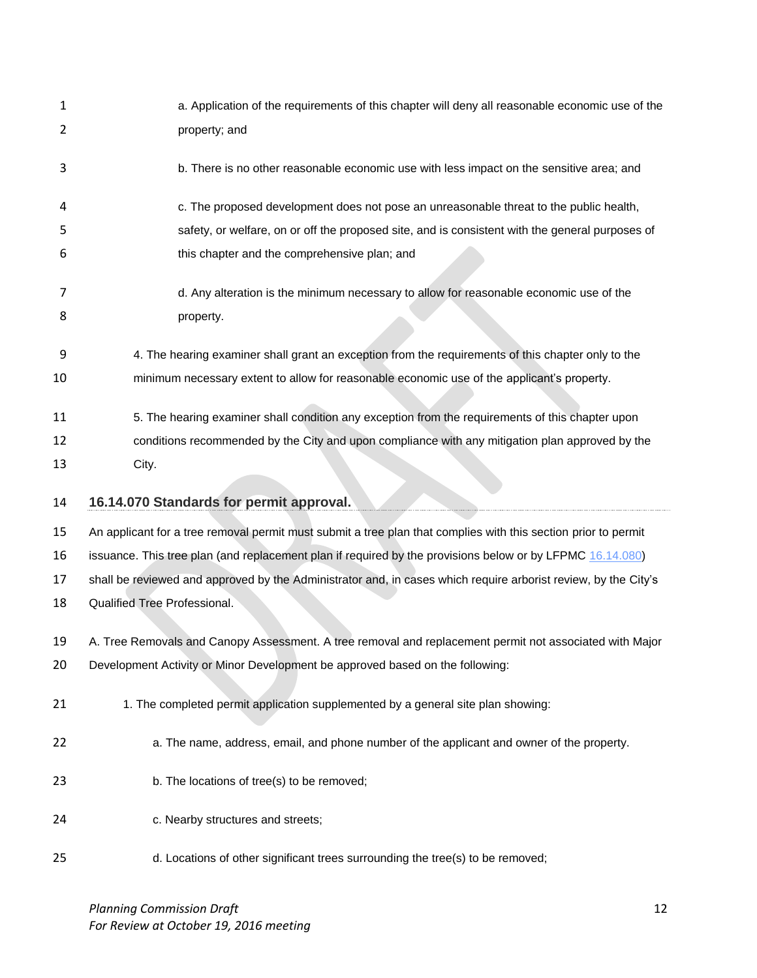| 1  | a. Application of the requirements of this chapter will deny all reasonable economic use of the                |
|----|----------------------------------------------------------------------------------------------------------------|
| 2  | property; and                                                                                                  |
| 3  | b. There is no other reasonable economic use with less impact on the sensitive area; and                       |
| 4  | c. The proposed development does not pose an unreasonable threat to the public health,                         |
| 5  | safety, or welfare, on or off the proposed site, and is consistent with the general purposes of                |
| 6  | this chapter and the comprehensive plan; and                                                                   |
| 7  | d. Any alteration is the minimum necessary to allow for reasonable economic use of the                         |
| 8  | property.                                                                                                      |
| 9  | 4. The hearing examiner shall grant an exception from the requirements of this chapter only to the             |
| 10 | minimum necessary extent to allow for reasonable economic use of the applicant's property.                     |
| 11 | 5. The hearing examiner shall condition any exception from the requirements of this chapter upon               |
| 12 | conditions recommended by the City and upon compliance with any mitigation plan approved by the                |
| 13 | City.                                                                                                          |
|    |                                                                                                                |
| 14 | 16.14.070 Standards for permit approval.                                                                       |
| 15 | An applicant for a tree removal permit must submit a tree plan that complies with this section prior to permit |
| 16 | issuance. This tree plan (and replacement plan if required by the provisions below or by LFPMC 16.14.080)      |
| 17 | shall be reviewed and approved by the Administrator and, in cases which require arborist review, by the City's |
| 18 | Qualified Tree Professional.                                                                                   |
| 19 | A. Tree Removals and Canopy Assessment. A tree removal and replacement permit not associated with Major        |
| 20 | Development Activity or Minor Development be approved based on the following:                                  |
| 21 | 1. The completed permit application supplemented by a general site plan showing:                               |
| 22 | a. The name, address, email, and phone number of the applicant and owner of the property.                      |
| 23 | b. The locations of tree(s) to be removed;                                                                     |
| 24 | c. Nearby structures and streets;                                                                              |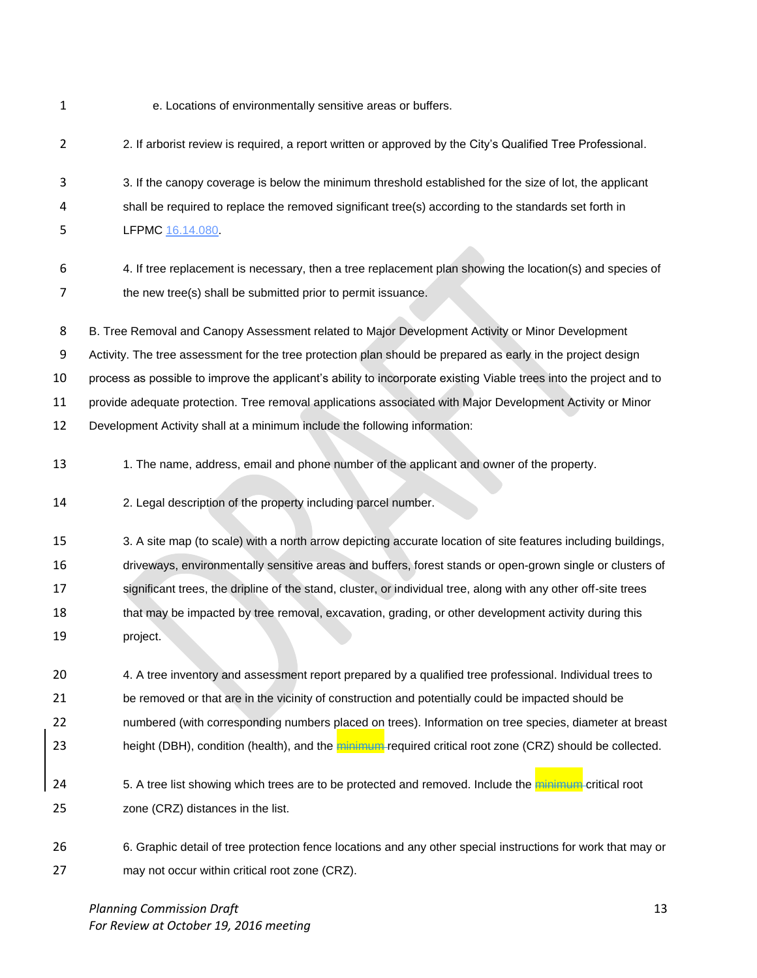e. Locations of environmentally sensitive areas or buffers.

2. If arborist review is required, a report written or approved by the City's Qualified Tree Professional.

 3. If the canopy coverage is below the minimum threshold established for the size of lot, the applicant shall be required to replace the removed significant tree(s) according to the standards set forth in LFPMC [16.14.080.](http://www.codepublishing.com/WA/LakeForestPark/html/LakeForestPark16/LakeForestPark1614.html#16.14.080)

 4. If tree replacement is necessary, then a tree replacement plan showing the location(s) and species of 7 the new tree(s) shall be submitted prior to permit issuance.

B. Tree Removal and Canopy Assessment related to Major Development Activity or Minor Development

Activity. The tree assessment for the tree protection plan should be prepared as early in the project design

process as possible to improve the applicant's ability to incorporate existing Viable trees into the project and to

provide adequate protection. Tree removal applications associated with Major Development Activity or Minor

- Development Activity shall at a minimum include the following information:
- 13 1. The name, address, email and phone number of the applicant and owner of the property.

2. Legal description of the property including parcel number.

 3. A site map (to scale) with a north arrow depicting accurate location of site features including buildings, driveways, environmentally sensitive areas and buffers, forest stands or open-grown single or clusters of significant trees, the dripline of the stand, cluster, or individual tree, along with any other off-site trees 18 that may be impacted by tree removal, excavation, grading, or other development activity during this project.

 4. A tree inventory and assessment report prepared by a qualified tree professional. Individual trees to be removed or that are in the vicinity of construction and potentially could be impacted should be numbered (with corresponding numbers placed on trees). Information on tree species, diameter at breast 23 height (DBH), condition (health), and the minimum required critical root zone (CRZ) should be collected.

- 24 5. A tree list showing which trees are to be protected and removed. Include the minimum-critical root zone (CRZ) distances in the list.
- 6. Graphic detail of tree protection fence locations and any other special instructions for work that may or may not occur within critical root zone (CRZ).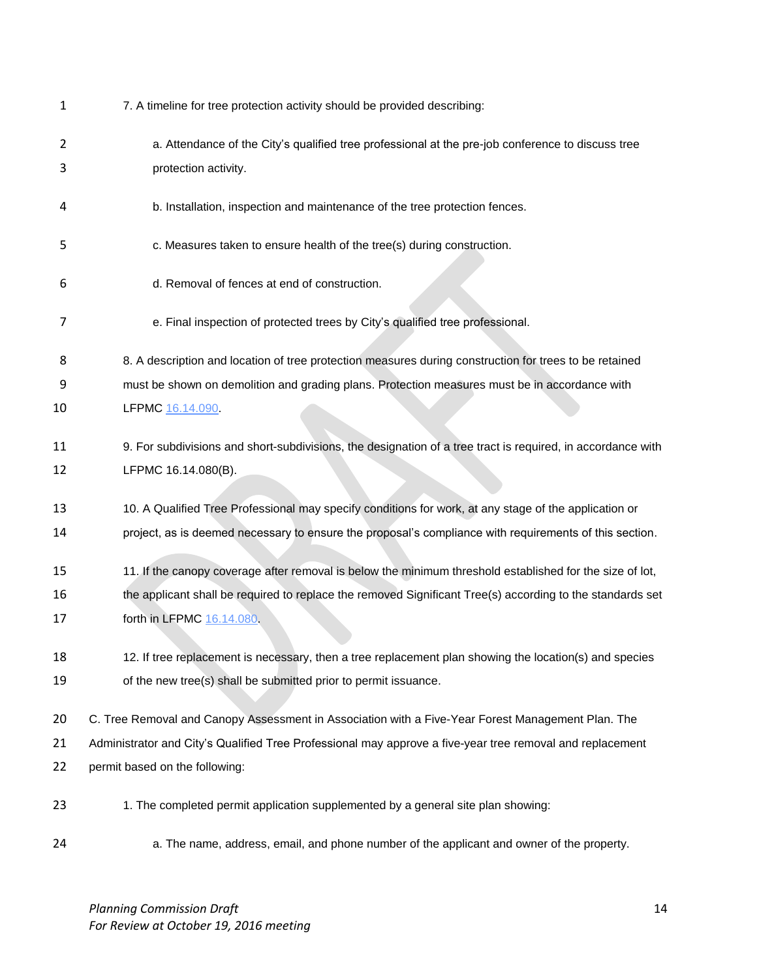| $\mathbf{1}$ | 7. A timeline for tree protection activity should be provided describing:                                   |
|--------------|-------------------------------------------------------------------------------------------------------------|
| 2            | a. Attendance of the City's qualified tree professional at the pre-job conference to discuss tree           |
| 3            | protection activity.                                                                                        |
| 4            | b. Installation, inspection and maintenance of the tree protection fences.                                  |
| 5            | c. Measures taken to ensure health of the tree(s) during construction.                                      |
| 6            | d. Removal of fences at end of construction.                                                                |
| 7            | e. Final inspection of protected trees by City's qualified tree professional.                               |
| 8            | 8. A description and location of tree protection measures during construction for trees to be retained      |
| 9            | must be shown on demolition and grading plans. Protection measures must be in accordance with               |
| 10           | LFPMC 16.14.090                                                                                             |
| 11           | 9. For subdivisions and short-subdivisions, the designation of a tree tract is required, in accordance with |
| 12           | LFPMC 16.14.080(B).                                                                                         |
| 13           | 10. A Qualified Tree Professional may specify conditions for work, at any stage of the application or       |
| 14           | project, as is deemed necessary to ensure the proposal's compliance with requirements of this section.      |
| 15           | 11. If the canopy coverage after removal is below the minimum threshold established for the size of lot,    |
| 16           | the applicant shall be required to replace the removed Significant Tree(s) according to the standards set   |
| 17           | forth in LFPMC 16.14.080.                                                                                   |
| 18           | 12. If tree replacement is necessary, then a tree replacement plan showing the location(s) and species      |
| 19           | of the new tree(s) shall be submitted prior to permit issuance.                                             |
| 20           | C. Tree Removal and Canopy Assessment in Association with a Five-Year Forest Management Plan. The           |
| 21           | Administrator and City's Qualified Tree Professional may approve a five-year tree removal and replacement   |
| 22           | permit based on the following:                                                                              |
| 23           | 1. The completed permit application supplemented by a general site plan showing:                            |
| 24           | a. The name, address, email, and phone number of the applicant and owner of the property.                   |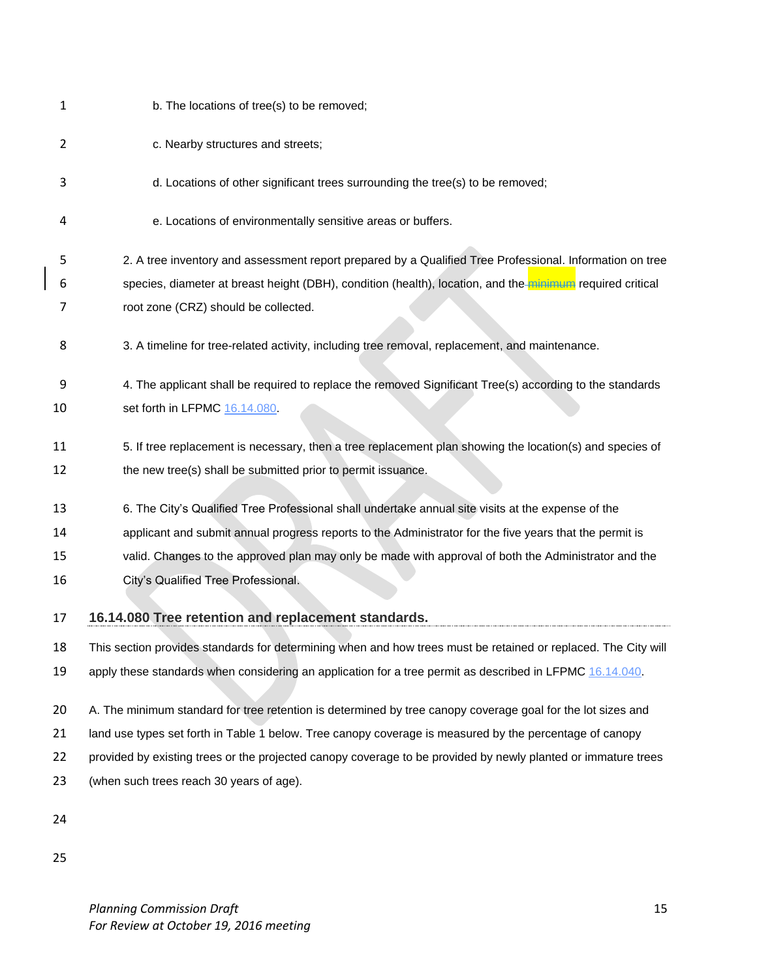| 1  | b. The locations of tree(s) to be removed;                                                                     |
|----|----------------------------------------------------------------------------------------------------------------|
| 2  | c. Nearby structures and streets;                                                                              |
| з  | d. Locations of other significant trees surrounding the tree(s) to be removed;                                 |
| 4  | e. Locations of environmentally sensitive areas or buffers.                                                    |
| 5  | 2. A tree inventory and assessment report prepared by a Qualified Tree Professional. Information on tree       |
| 6  | species, diameter at breast height (DBH), condition (health), location, and the minimum required critical      |
| 7  | root zone (CRZ) should be collected.                                                                           |
| 8  | 3. A timeline for tree-related activity, including tree removal, replacement, and maintenance.                 |
| 9  | 4. The applicant shall be required to replace the removed Significant Tree(s) according to the standards       |
| 10 | set forth in LFPMC 16.14.080                                                                                   |
| 11 | 5. If tree replacement is necessary, then a tree replacement plan showing the location(s) and species of       |
| 12 | the new tree(s) shall be submitted prior to permit issuance.                                                   |
| 13 | 6. The City's Qualified Tree Professional shall undertake annual site visits at the expense of the             |
| 14 | applicant and submit annual progress reports to the Administrator for the five years that the permit is        |
| 15 | valid. Changes to the approved plan may only be made with approval of both the Administrator and the           |
| 16 | City's Qualified Tree Professional.                                                                            |
| 17 | 16.14.080 Tree retention and replacement standards.                                                            |
| 18 | This section provides standards for determining when and how trees must be retained or replaced. The City will |
| 19 | apply these standards when considering an application for a tree permit as described in LFPMC 16.14.040.       |
| 20 | A. The minimum standard for tree retention is determined by tree canopy coverage goal for the lot sizes and    |
| 21 | land use types set forth in Table 1 below. Tree canopy coverage is measured by the percentage of canopy        |
| 22 | provided by existing trees or the projected canopy coverage to be provided by newly planted or immature trees  |
| 23 | (when such trees reach 30 years of age).                                                                       |
| 24 |                                                                                                                |
| 25 |                                                                                                                |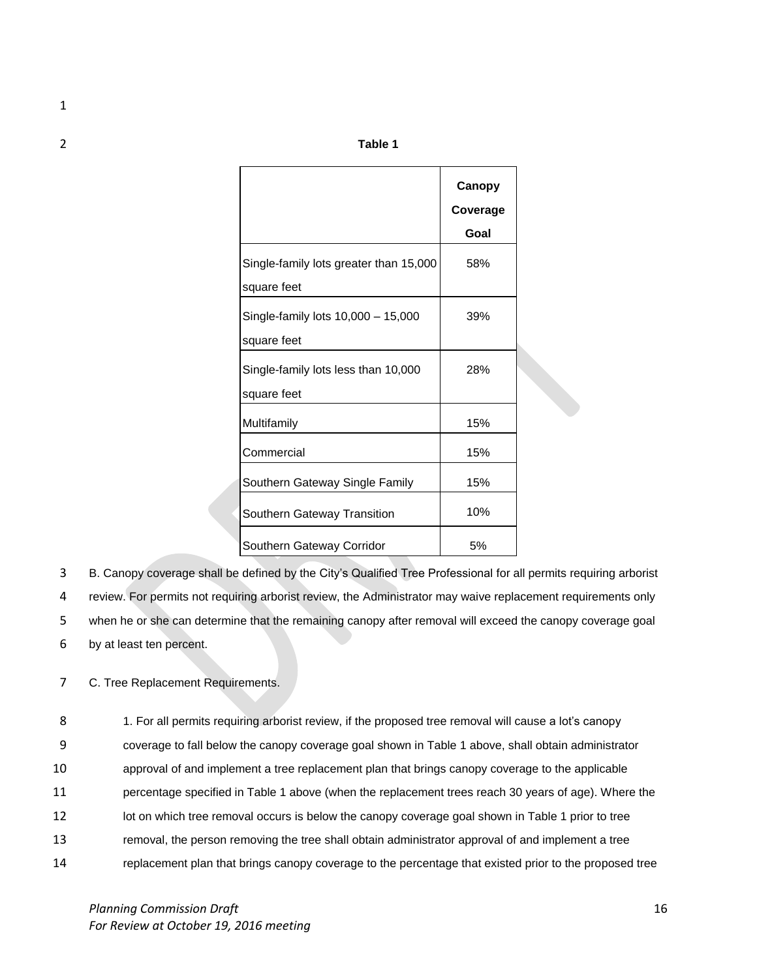1

2 **Table 1**

|                                        | Canopy<br>Coverage |  |
|----------------------------------------|--------------------|--|
|                                        | Goal               |  |
| Single-family lots greater than 15,000 | 58%                |  |
| square feet                            |                    |  |
| Single-family lots 10,000 - 15,000     | 39%                |  |
| square feet                            |                    |  |
| Single-family lots less than 10,000    | 28%                |  |
| square feet                            |                    |  |
| Multifamily                            | 15%                |  |
| Commercial                             | 15%                |  |
| Southern Gateway Single Family         | 15%                |  |
| Southern Gateway Transition            | 10%                |  |
| Southern Gateway Corridor              | 5%                 |  |

 B. Canopy coverage shall be defined by the City's Qualified Tree Professional for all permits requiring arborist review. For permits not requiring arborist review, the Administrator may waive replacement requirements only when he or she can determine that the remaining canopy after removal will exceed the canopy coverage goal by at least ten percent.

7 C. Tree Replacement Requirements.

 1. For all permits requiring arborist review, if the proposed tree removal will cause a lot's canopy coverage to fall below the canopy coverage goal shown in Table 1 above, shall obtain administrator approval of and implement a tree replacement plan that brings canopy coverage to the applicable percentage specified in Table 1 above (when the replacement trees reach 30 years of age). Where the 12 lot on which tree removal occurs is below the canopy coverage goal shown in Table 1 prior to tree removal, the person removing the tree shall obtain administrator approval of and implement a tree replacement plan that brings canopy coverage to the percentage that existed prior to the proposed tree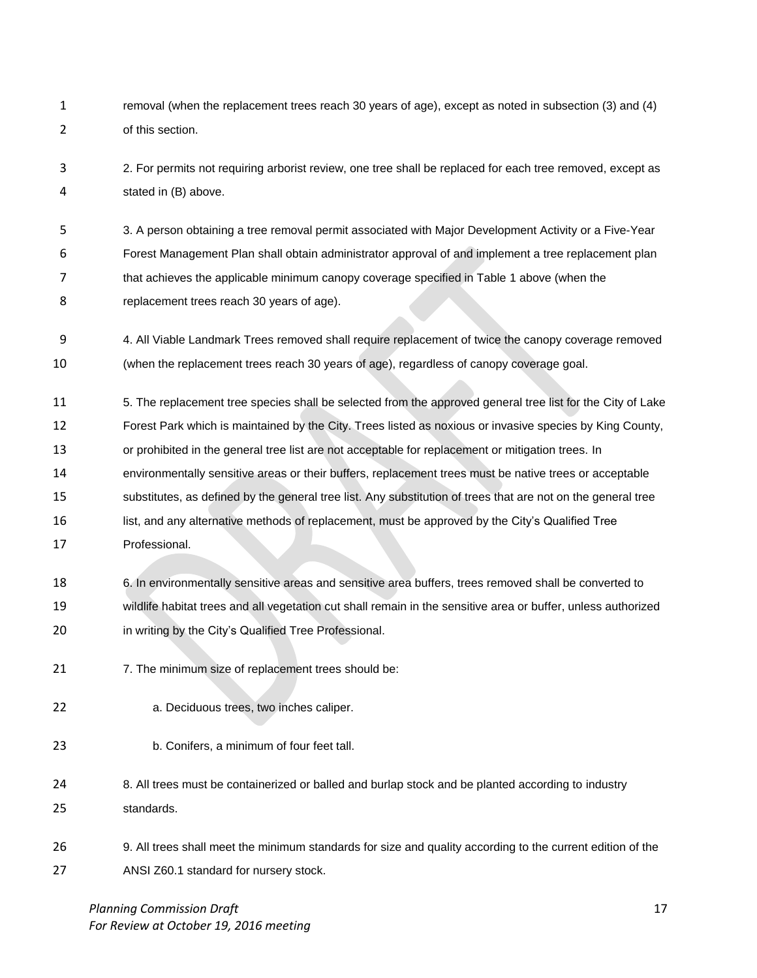- removal (when the replacement trees reach 30 years of age), except as noted in subsection (3) and (4) of this section.
- 2. For permits not requiring arborist review, one tree shall be replaced for each tree removed, except as stated in (B) above.

 3. A person obtaining a tree removal permit associated with Major Development Activity or a Five-Year Forest Management Plan shall obtain administrator approval of and implement a tree replacement plan that achieves the applicable minimum canopy coverage specified in Table 1 above (when the replacement trees reach 30 years of age).

- 4. All Viable Landmark Trees removed shall require replacement of twice the canopy coverage removed (when the replacement trees reach 30 years of age), regardless of canopy coverage goal.
- 5. The replacement tree species shall be selected from the approved general tree list for the City of Lake
- Forest Park which is maintained by the City. Trees listed as noxious or invasive species by King County,
- or prohibited in the general tree list are not acceptable for replacement or mitigation trees. In
- environmentally sensitive areas or their buffers, replacement trees must be native trees or acceptable
- substitutes, as defined by the general tree list. Any substitution of trees that are not on the general tree
- list, and any alternative methods of replacement, must be approved by the City's Qualified Tree
- Professional.
- 6. In environmentally sensitive areas and sensitive area buffers, trees removed shall be converted to wildlife habitat trees and all vegetation cut shall remain in the sensitive area or buffer, unless authorized in writing by the City's Qualified Tree Professional.
- 21 7. The minimum size of replacement trees should be:
- a. Deciduous trees, two inches caliper.
- b. Conifers, a minimum of four feet tall.
- 8. All trees must be containerized or balled and burlap stock and be planted according to industry standards.
- 9. All trees shall meet the minimum standards for size and quality according to the current edition of the ANSI Z60.1 standard for nursery stock.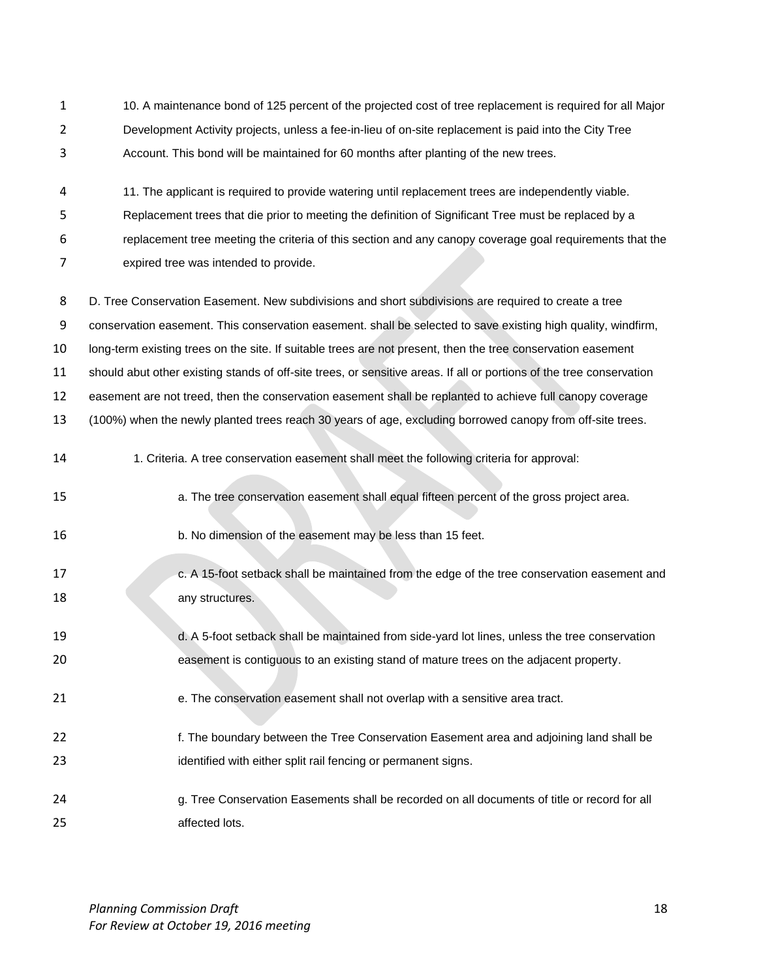10. A maintenance bond of 125 percent of the projected cost of tree replacement is required for all Major Development Activity projects, unless a fee-in-lieu of on-site replacement is paid into the City Tree Account. This bond will be maintained for 60 months after planting of the new trees.

 11. The applicant is required to provide watering until replacement trees are independently viable. Replacement trees that die prior to meeting the definition of Significant Tree must be replaced by a replacement tree meeting the criteria of this section and any canopy coverage goal requirements that the expired tree was intended to provide.

- D. Tree Conservation Easement. New subdivisions and short subdivisions are required to create a tree conservation easement. This conservation easement. shall be selected to save existing high quality, windfirm, long-term existing trees on the site. If suitable trees are not present, then the tree conservation easement should abut other existing stands of off-site trees, or sensitive areas. If all or portions of the tree conservation easement are not treed, then the conservation easement shall be replanted to achieve full canopy coverage (100%) when the newly planted trees reach 30 years of age, excluding borrowed canopy from off-site trees.
- 1. Criteria. A tree conservation easement shall meet the following criteria for approval:
- a. The tree conservation easement shall equal fifteen percent of the gross project area.
- b. No dimension of the easement may be less than 15 feet.
- c. A 15-foot setback shall be maintained from the edge of the tree conservation easement and 18 any structures.
- d. A 5-foot setback shall be maintained from side-yard lot lines, unless the tree conservation easement is contiguous to an existing stand of mature trees on the adjacent property.
- 21 e. The conservation easement shall not overlap with a sensitive area tract.
- f. The boundary between the Tree Conservation Easement area and adjoining land shall be 23 identified with either split rail fencing or permanent signs.
- g. Tree Conservation Easements shall be recorded on all documents of title or record for all 25 affected lots.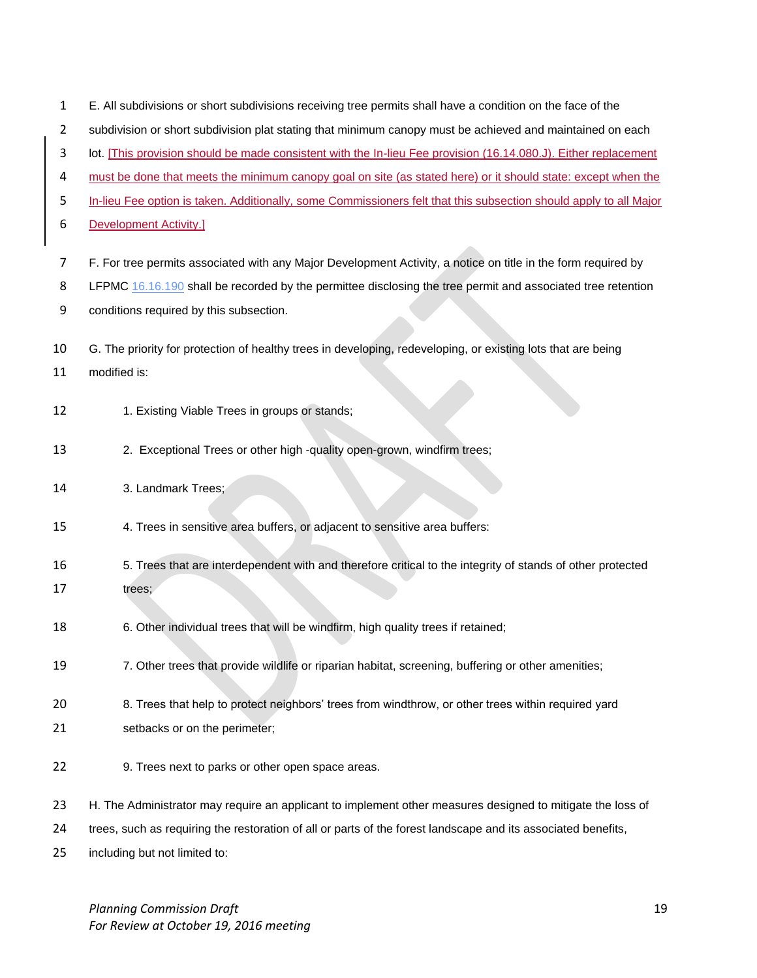| $\mathbf{1}$ | E. All subdivisions or short subdivisions receiving tree permits shall have a condition on the face of the        |
|--------------|-------------------------------------------------------------------------------------------------------------------|
| 2            | subdivision or short subdivision plat stating that minimum canopy must be achieved and maintained on each         |
| 3            | lot. [This provision should be made consistent with the In-lieu Fee provision (16.14.080.J). Either replacement   |
| 4            | must be done that meets the minimum canopy goal on site (as stated here) or it should state: except when the      |
| 5            | In-lieu Fee option is taken. Additionally, some Commissioners felt that this subsection should apply to all Major |
| 6            | <b>Development Activity.]</b>                                                                                     |
| 7            | F. For tree permits associated with any Major Development Activity, a notice on title in the form required by     |
| 8            | LFPMC 16.16.190 shall be recorded by the permittee disclosing the tree permit and associated tree retention       |
| 9            | conditions required by this subsection.                                                                           |
| 10           | G. The priority for protection of healthy trees in developing, redeveloping, or existing lots that are being      |
| 11           | modified is:                                                                                                      |
| 12           | 1. Existing Viable Trees in groups or stands;                                                                     |
| 13           | 2. Exceptional Trees or other high -quality open-grown, windfirm trees;                                           |
| 14           | 3. Landmark Trees;                                                                                                |
| 15           | 4. Trees in sensitive area buffers, or adjacent to sensitive area buffers:                                        |
| 16           | 5. Trees that are interdependent with and therefore critical to the integrity of stands of other protected        |
| 17           | trees;                                                                                                            |
| 18           | 6. Other individual trees that will be windfirm, high quality trees if retained;                                  |
| 19           | 7. Other trees that provide wildlife or riparian habitat, screening, buffering or other amenities;                |
| 20           | 8. Trees that help to protect neighbors' trees from windthrow, or other trees within required yard                |
| 21           | setbacks or on the perimeter;                                                                                     |
| 22           | 9. Trees next to parks or other open space areas.                                                                 |
| 23           | H. The Administrator may require an applicant to implement other measures designed to mitigate the loss of        |
| 24           | trees, such as requiring the restoration of all or parts of the forest landscape and its associated benefits,     |
| 25           | including but not limited to:                                                                                     |

*Planning Commission Draft* 19 *For Review at October 19, 2016 meeting*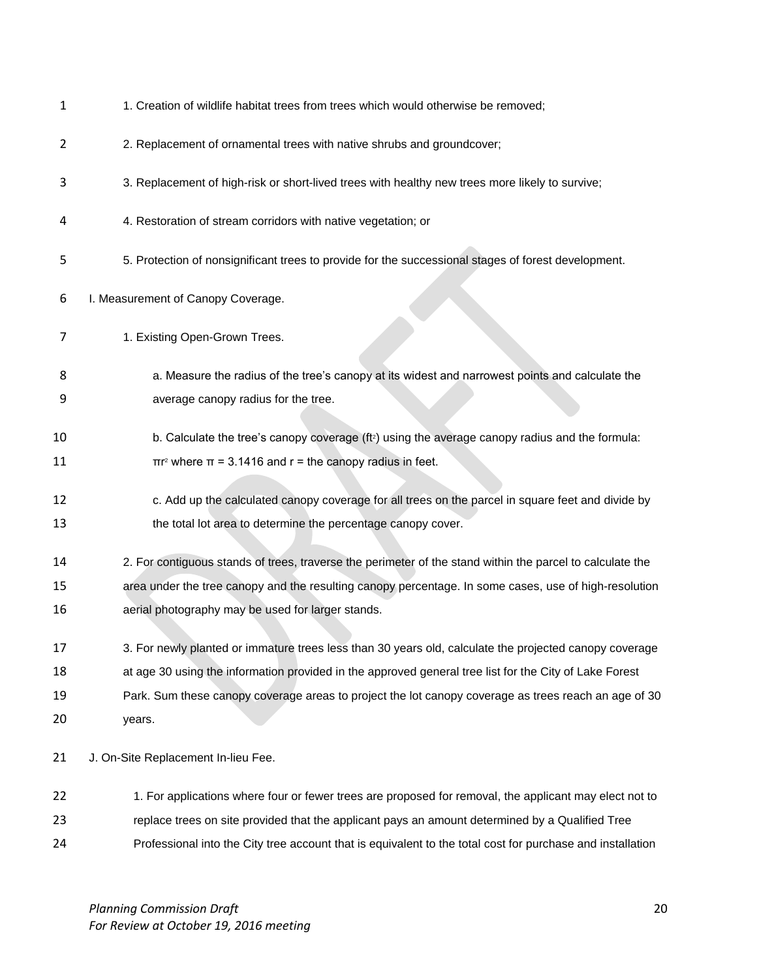|  | 1. Creation of wildlife habitat trees from trees which would otherwise be removed; |
|--|------------------------------------------------------------------------------------|
|--|------------------------------------------------------------------------------------|

- 2. Replacement of ornamental trees with native shrubs and groundcover;
- 3. Replacement of high-risk or short-lived trees with healthy new trees more likely to survive;
- 4. Restoration of stream corridors with native vegetation; or
- 5. Protection of nonsignificant trees to provide for the successional stages of forest development.
- I. Measurement of Canopy Coverage.
- 7 1. Existing Open-Grown Trees.
- a. Measure the radius of the tree's canopy at its widest and narrowest points and calculate the average canopy radius for the tree.
- 10 b. Calculate the tree's canopy coverage  $(f_2)$  using the average canopy radius and the formula: 11  $\pi r^2$  where  $\pi = 3.1416$  and r = the canopy radius in feet.
- c. Add up the calculated canopy coverage for all trees on the parcel in square feet and divide by the total lot area to determine the percentage canopy cover.
- 2. For contiguous stands of trees, traverse the perimeter of the stand within the parcel to calculate the area under the tree canopy and the resulting canopy percentage. In some cases, use of high-resolution aerial photography may be used for larger stands.
- 3. For newly planted or immature trees less than 30 years old, calculate the projected canopy coverage
- 18 at age 30 using the information provided in the approved general tree list for the City of Lake Forest
- Park. Sum these canopy coverage areas to project the lot canopy coverage as trees reach an age of 30 years.

21 J. On-Site Replacement In-lieu Fee.

22 1. For applications where four or fewer trees are proposed for removal, the applicant may elect not to replace trees on site provided that the applicant pays an amount determined by a Qualified Tree Professional into the City tree account that is equivalent to the total cost for purchase and installation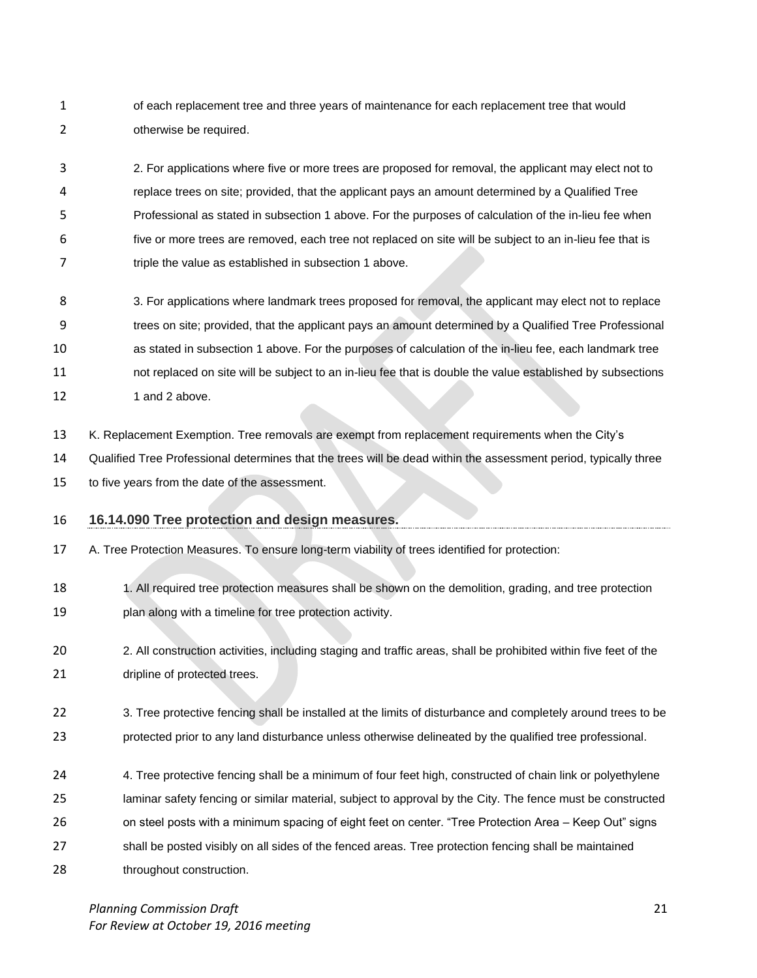1 of each replacement tree and three years of maintenance for each replacement tree that would otherwise be required.

 2. For applications where five or more trees are proposed for removal, the applicant may elect not to replace trees on site; provided, that the applicant pays an amount determined by a Qualified Tree Professional as stated in subsection 1 above. For the purposes of calculation of the in-lieu fee when five or more trees are removed, each tree not replaced on site will be subject to an in-lieu fee that is 7 triple the value as established in subsection 1 above.

- 3. For applications where landmark trees proposed for removal, the applicant may elect not to replace trees on site; provided, that the applicant pays an amount determined by a Qualified Tree Professional as stated in subsection 1 above. For the purposes of calculation of the in-lieu fee, each landmark tree not replaced on site will be subject to an in-lieu fee that is double the value established by subsections 12 1 and 2 above.
- K. Replacement Exemption. Tree removals are exempt from replacement requirements when the City's

Qualified Tree Professional determines that the trees will be dead within the assessment period, typically three

- to five years from the date of the assessment.
- **16.14.090 Tree protection and design measures.**
- A. Tree Protection Measures. To ensure long-term viability of trees identified for protection:
- 18 1. All required tree protection measures shall be shown on the demolition, grading, and tree protection plan along with a timeline for tree protection activity.
- 2. All construction activities, including staging and traffic areas, shall be prohibited within five feet of the 21 dripline of protected trees.
- 22 3. Tree protective fencing shall be installed at the limits of disturbance and completely around trees to be protected prior to any land disturbance unless otherwise delineated by the qualified tree professional.
- 24 4. Tree protective fencing shall be a minimum of four feet high, constructed of chain link or polyethylene
- laminar safety fencing or similar material, subject to approval by the City. The fence must be constructed
- on steel posts with a minimum spacing of eight feet on center. "Tree Protection Area Keep Out" signs
- shall be posted visibly on all sides of the fenced areas. Tree protection fencing shall be maintained
- 28 throughout construction.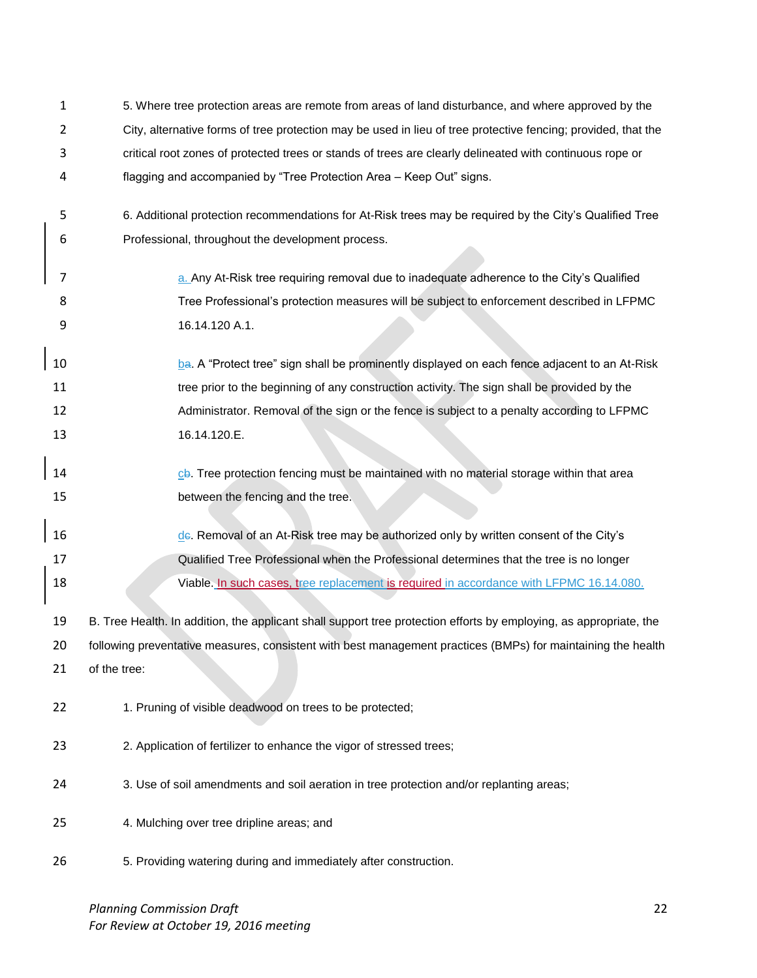| 1              | 5. Where tree protection areas are remote from areas of land disturbance, and where approved by the                |
|----------------|--------------------------------------------------------------------------------------------------------------------|
| $\overline{2}$ | City, alternative forms of tree protection may be used in lieu of tree protective fencing; provided, that the      |
| 3              | critical root zones of protected trees or stands of trees are clearly delineated with continuous rope or           |
| 4              | flagging and accompanied by "Tree Protection Area - Keep Out" signs.                                               |
| 5              | 6. Additional protection recommendations for At-Risk trees may be required by the City's Qualified Tree            |
| 6              | Professional, throughout the development process.                                                                  |
| 7              | a. Any At-Risk tree requiring removal due to inadequate adherence to the City's Qualified                          |
| 8              | Tree Professional's protection measures will be subject to enforcement described in LFPMC                          |
| 9              | 16.14.120 A.1.                                                                                                     |
| 10             | ba. A "Protect tree" sign shall be prominently displayed on each fence adjacent to an At-Risk                      |
| 11             | tree prior to the beginning of any construction activity. The sign shall be provided by the                        |
| 12             | Administrator. Removal of the sign or the fence is subject to a penalty according to LFPMC                         |
| 13             | 16.14.120.E.                                                                                                       |
| 14             | cb. Tree protection fencing must be maintained with no material storage within that area                           |
| 15             | between the fencing and the tree.                                                                                  |
|                |                                                                                                                    |
| 16             | de. Removal of an At-Risk tree may be authorized only by written consent of the City's                             |
| 17             | Qualified Tree Professional when the Professional determines that the tree is no longer                            |
| 18             | Viable. In such cases, tree replacement is required in accordance with LFPMC 16.14.080.                            |
| 19             | B. Tree Health. In addition, the applicant shall support tree protection efforts by employing, as appropriate, the |
| 20             | following preventative measures, consistent with best management practices (BMPs) for maintaining the health       |
| 21             | of the tree:                                                                                                       |
| 22             | 1. Pruning of visible deadwood on trees to be protected;                                                           |
| 23             | 2. Application of fertilizer to enhance the vigor of stressed trees;                                               |
| 24             | 3. Use of soil amendments and soil aeration in tree protection and/or replanting areas;                            |
| 25             | 4. Mulching over tree dripline areas; and                                                                          |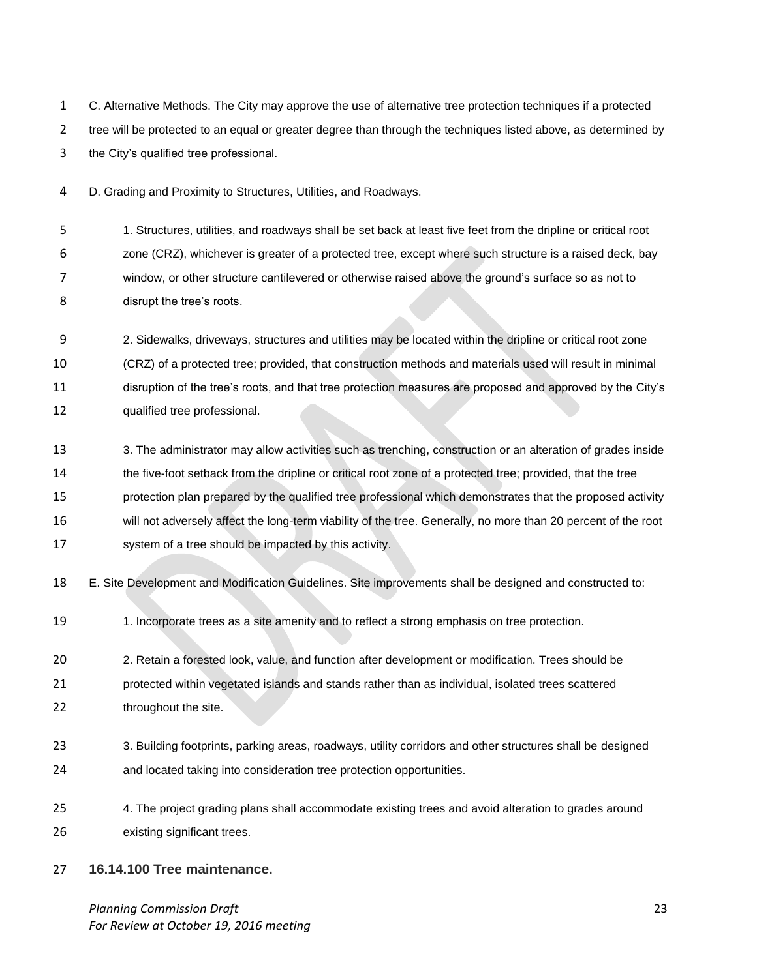C. Alternative Methods. The City may approve the use of alternative tree protection techniques if a protected 2 tree will be protected to an equal or greater degree than through the techniques listed above, as determined by the City's qualified tree professional.

D. Grading and Proximity to Structures, Utilities, and Roadways.

 1. Structures, utilities, and roadways shall be set back at least five feet from the dripline or critical root zone (CRZ), whichever is greater of a protected tree, except where such structure is a raised deck, bay window, or other structure cantilevered or otherwise raised above the ground's surface so as not to disrupt the tree's roots.

 2. Sidewalks, driveways, structures and utilities may be located within the dripline or critical root zone (CRZ) of a protected tree; provided, that construction methods and materials used will result in minimal disruption of the tree's roots, and that tree protection measures are proposed and approved by the City's qualified tree professional.

- 13 3. The administrator may allow activities such as trenching, construction or an alteration of grades inside the five-foot setback from the dripline or critical root zone of a protected tree; provided, that the tree protection plan prepared by the qualified tree professional which demonstrates that the proposed activity will not adversely affect the long-term viability of the tree. Generally, no more than 20 percent of the root system of a tree should be impacted by this activity.
- E. Site Development and Modification Guidelines. Site improvements shall be designed and constructed to:
- 1. Incorporate trees as a site amenity and to reflect a strong emphasis on tree protection.

2. Retain a forested look, value, and function after development or modification. Trees should be

 protected within vegetated islands and stands rather than as individual, isolated trees scattered 22 throughout the site.

- 3. Building footprints, parking areas, roadways, utility corridors and other structures shall be designed and located taking into consideration tree protection opportunities.
- 4. The project grading plans shall accommodate existing trees and avoid alteration to grades around existing significant trees.
- **16.14.100 Tree maintenance.**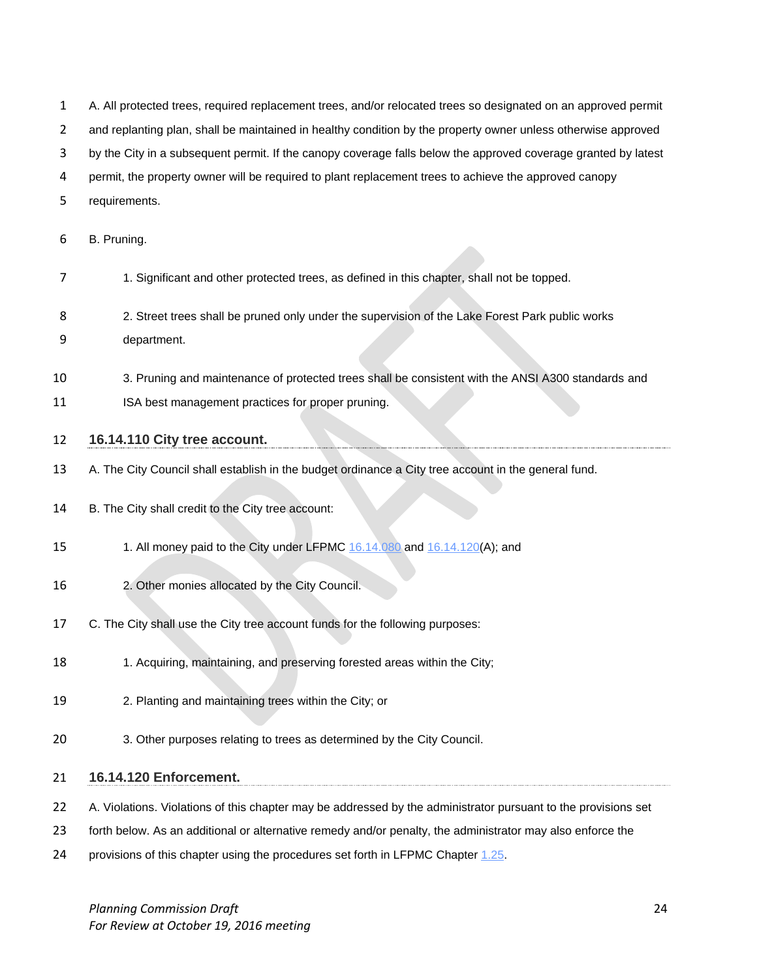- A. All protected trees, required replacement trees, and/or relocated trees so designated on an approved permit
- 2 and replanting plan, shall be maintained in healthy condition by the property owner unless otherwise approved
- by the City in a subsequent permit. If the canopy coverage falls below the approved coverage granted by latest
- permit, the property owner will be required to plant replacement trees to achieve the approved canopy
- requirements.
- B. Pruning.
- 1. Significant and other protected trees, as defined in this chapter, shall not be topped.
- 2. Street trees shall be pruned only under the supervision of the Lake Forest Park public works
- department.
- 3. Pruning and maintenance of protected trees shall be consistent with the ANSI A300 standards and
- **ISA** best management practices for proper pruning.

## **16.14.110 City tree account.**

- A. The City Council shall establish in the budget ordinance a City tree account in the general fund.
- 14 B. The City shall credit to the City tree account:
- 15 1. All money paid to the City under LFPMC [16.14.080](http://www.codepublishing.com/WA/LakeForestPark/html/LakeForestPark16/LakeForestPark1614.html#16.14.080) and [16.14.120\(](http://www.codepublishing.com/WA/LakeForestPark/html/LakeForestPark16/LakeForestPark1614.html#16.14.120)A); and
- 2. Other monies allocated by the City Council.
- C. The City shall use the City tree account funds for the following purposes:
- 1. Acquiring, maintaining, and preserving forested areas within the City;
- 2. Planting and maintaining trees within the City; or
- 3. Other purposes relating to trees as determined by the City Council.

#### **16.14.120 Enforcement.**

- 22 A. Violations. Violations of this chapter may be addressed by the administrator pursuant to the provisions set
- forth below. As an additional or alternative remedy and/or penalty, the administrator may also enforce the
- provisions of this chapter using the procedures set forth in LFPMC Chapter 1.25.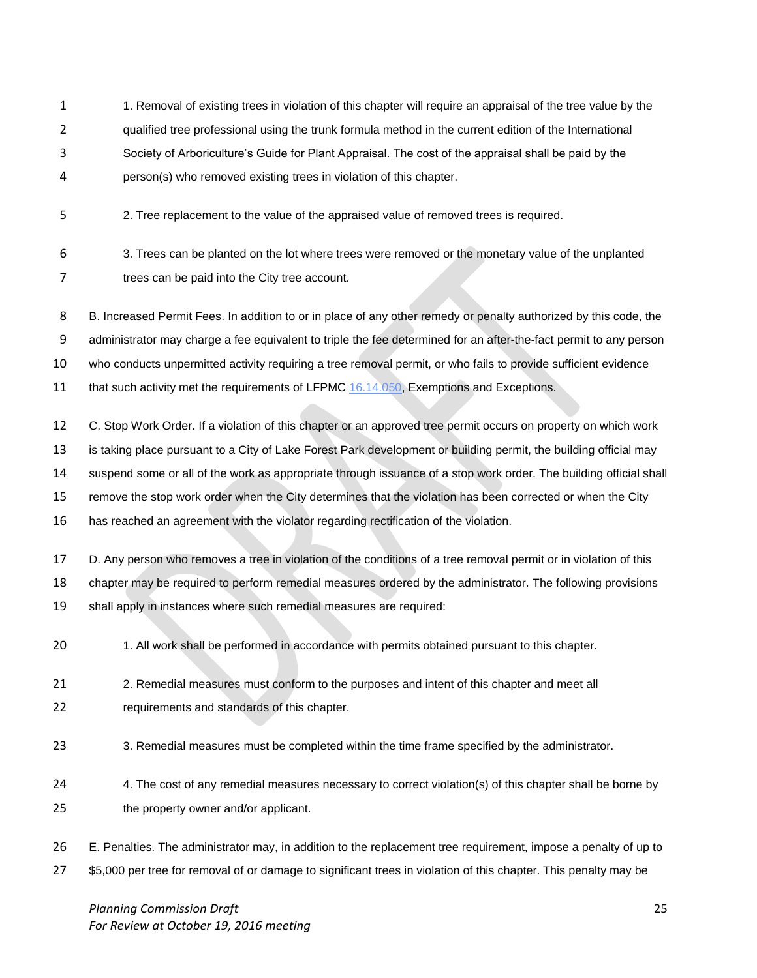- 1. Removal of existing trees in violation of this chapter will require an appraisal of the tree value by the qualified tree professional using the trunk formula method in the current edition of the International Society of Arboriculture's Guide for Plant Appraisal. The cost of the appraisal shall be paid by the
- person(s) who removed existing trees in violation of this chapter.
- 2. Tree replacement to the value of the appraised value of removed trees is required.
- 3. Trees can be planted on the lot where trees were removed or the monetary value of the unplanted 7 trees can be paid into the City tree account.

B. Increased Permit Fees. In addition to or in place of any other remedy or penalty authorized by this code, the

administrator may charge a fee equivalent to triple the fee determined for an after-the-fact permit to any person

- who conducts unpermitted activity requiring a tree removal permit, or who fails to provide sufficient evidence
- 11 that such activity met the requirements of LFPMC [16.14.050,](http://www.codepublishing.com/WA/LakeForestPark/html/LakeForestPark16/LakeForestPark1614.html#16.14.050) Exemptions and Exceptions.
- C. Stop Work Order. If a violation of this chapter or an approved tree permit occurs on property on which work

is taking place pursuant to a City of Lake Forest Park development or building permit, the building official may

- suspend some or all of the work as appropriate through issuance of a stop work order. The building official shall
- remove the stop work order when the City determines that the violation has been corrected or when the City
- has reached an agreement with the violator regarding rectification of the violation.
- D. Any person who removes a tree in violation of the conditions of a tree removal permit or in violation of this chapter may be required to perform remedial measures ordered by the administrator. The following provisions
- shall apply in instances where such remedial measures are required:
- 1. All work shall be performed in accordance with permits obtained pursuant to this chapter.
- 21 2. Remedial measures must conform to the purposes and intent of this chapter and meet all requirements and standards of this chapter.
- 3. Remedial measures must be completed within the time frame specified by the administrator.
- 24 4. The cost of any remedial measures necessary to correct violation(s) of this chapter shall be borne by the property owner and/or applicant.
- E. Penalties. The administrator may, in addition to the replacement tree requirement, impose a penalty of up to \$5,000 per tree for removal of or damage to significant trees in violation of this chapter. This penalty may be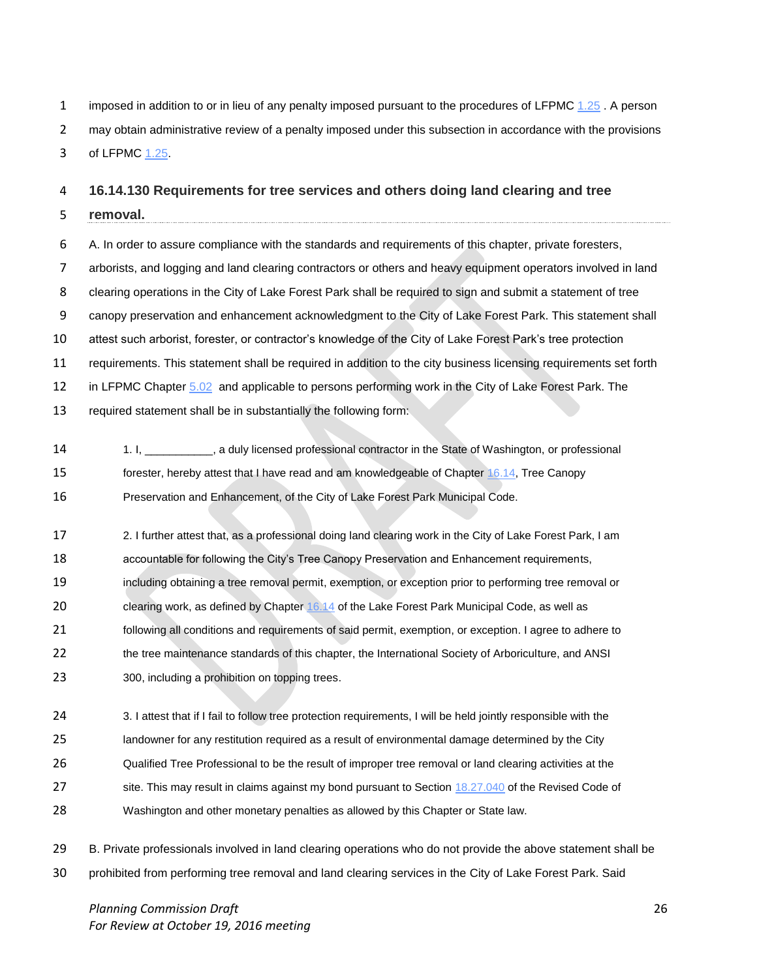1 imposed in addition to or in lieu of any penalty imposed pursuant to the procedures of LFPMC [1.25](http://www.codepublishing.com/WA/LakeForestPark/html/LakeForestPark18/LakeForestPark1871.html#18.71.070). A person may obtain administrative review of a penalty imposed under this subsection in accordance with the provisions of LFPMC [1.25.](http://www.codepublishing.com/WA/LakeForestPark/html/LakeForestPark18/LakeForestPark1871.html#18.71.070)

#### **16.14.130 Requirements for tree services and others doing land clearing and tree**

- **removal.**
- A. In order to assure compliance with the standards and requirements of this chapter, private foresters, arborists, and logging and land clearing contractors or others and heavy equipment operators involved in land clearing operations in the City of Lake Forest Park shall be required to sign and submit a statement of tree canopy preservation and enhancement acknowledgment to the City of Lake Forest Park. This statement shall attest such arborist, forester, or contractor's knowledge of the City of Lake Forest Park's tree protection requirements. This statement shall be required in addition to the city business licensing requirements set forth 12 in LFPMC Chapter [5.02](http://www.codepublishing.com/WA/LakeForestPark/html/LakeForestPark05/LakeForestPark0502.html#5.02) and applicable to persons performing work in the City of Lake Forest Park. The required statement shall be in substantially the following form:
- 1. I, \_\_\_\_\_\_\_\_\_\_\_, a duly licensed professional contractor in the State of Washington, or professional forester, hereby attest that I have read and am knowledgeable of Chapter [16.14,](http://www.codepublishing.com/WA/LakeForestPark/html/LakeForestPark16/LakeForestPark1614.html#16.14) Tree Canopy Preservation and Enhancement, of the City of Lake Forest Park Municipal Code.
- 2. I further attest that, as a professional doing land clearing work in the City of Lake Forest Park, I am accountable for following the City's Tree Canopy Preservation and Enhancement requirements, including obtaining a tree removal permit, exemption, or exception prior to performing tree removal or clearing work, as defined by Chapter [16.14](http://www.codepublishing.com/WA/LakeForestPark/html/LakeForestPark16/LakeForestPark1614.html#16.14) of the Lake Forest Park Municipal Code, as well as following all conditions and requirements of said permit, exemption, or exception. I agree to adhere to 22 the tree maintenance standards of this chapter, the International Society of Arboriculture, and ANSI 300, including a prohibition on topping trees.
- 24 3. I attest that if I fail to follow tree protection requirements, I will be held jointly responsible with the landowner for any restitution required as a result of environmental damage determined by the City Qualified Tree Professional to be the result of improper tree removal or land clearing activities at the 27 site. This may result in claims against my bond pursuant to Section [18.27.040](http://www.codepublishing.com/cgi-bin/rcw.pl?cite=18.27.040) of the Revised Code of Washington and other monetary penalties as allowed by this Chapter or State law.
- B. Private professionals involved in land clearing operations who do not provide the above statement shall be prohibited from performing tree removal and land clearing services in the City of Lake Forest Park. Said

*Planning Commission Draft* 26 *For Review at October 19, 2016 meeting*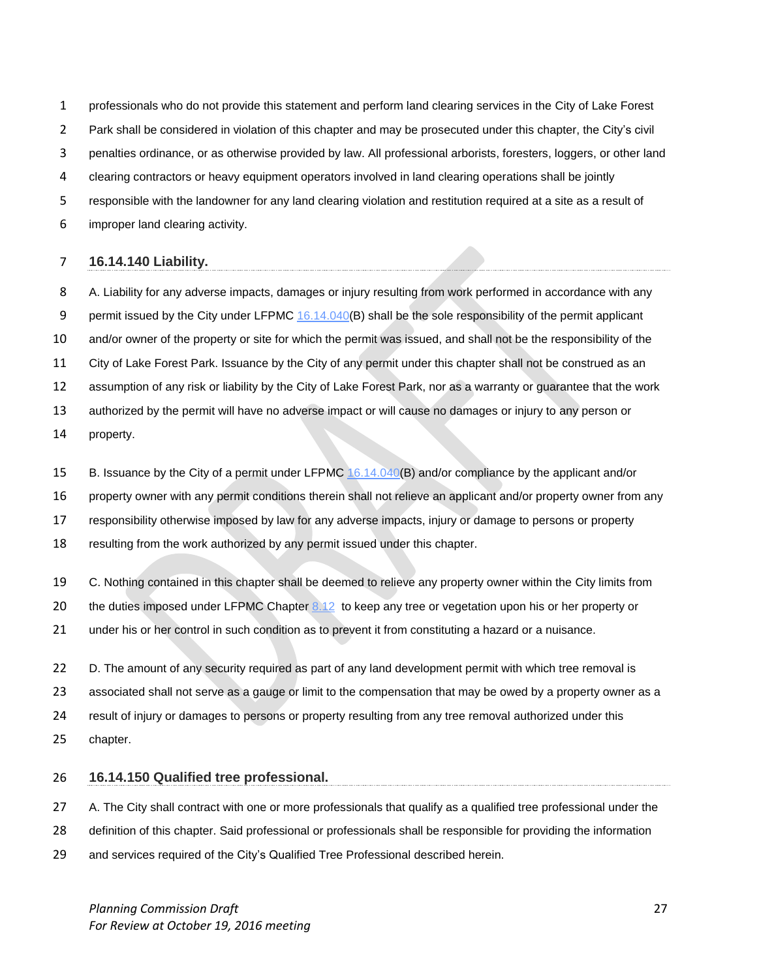professionals who do not provide this statement and perform land clearing services in the City of Lake Forest

Park shall be considered in violation of this chapter and may be prosecuted under this chapter, the City's civil

penalties ordinance, or as otherwise provided by law. All professional arborists, foresters, loggers, or other land

- clearing contractors or heavy equipment operators involved in land clearing operations shall be jointly
- responsible with the landowner for any land clearing violation and restitution required at a site as a result of
- improper land clearing activity.

## **16.14.140 Liability.**

 A. Liability for any adverse impacts, damages or injury resulting from work performed in accordance with any 9 permit issued by the City under LFPMC [16.14.040\(](http://www.codepublishing.com/WA/LakeForestPark/html/LakeForestPark16/LakeForestPark1614.html#16.14.040)B) shall be the sole responsibility of the permit applicant and/or owner of the property or site for which the permit was issued, and shall not be the responsibility of the City of Lake Forest Park. Issuance by the City of any permit under this chapter shall not be construed as an assumption of any risk or liability by the City of Lake Forest Park, nor as a warranty or guarantee that the work authorized by the permit will have no adverse impact or will cause no damages or injury to any person or property.

B. Issuance by the City of a permit under LFPMC [16.14.040\(](http://www.codepublishing.com/WA/LakeForestPark/html/LakeForestPark16/LakeForestPark1614.html#16.14.040)B) and/or compliance by the applicant and/or

property owner with any permit conditions therein shall not relieve an applicant and/or property owner from any

responsibility otherwise imposed by law for any adverse impacts, injury or damage to persons or property

resulting from the work authorized by any permit issued under this chapter.

C. Nothing contained in this chapter shall be deemed to relieve any property owner within the City limits from

20 the duties imposed under LFPMC Chapter [8.12](http://www.codepublishing.com/WA/LakeForestPark/html/LakeForestPark08/LakeForestPark0812.html#8.12) to keep any tree or vegetation upon his or her property or

under his or her control in such condition as to prevent it from constituting a hazard or a nuisance.

22 D. The amount of any security required as part of any land development permit with which tree removal is associated shall not serve as a gauge or limit to the compensation that may be owed by a property owner as a result of injury or damages to persons or property resulting from any tree removal authorized under this chapter.

# **16.14.150 Qualified tree professional.**

27 A. The City shall contract with one or more professionals that qualify as a qualified tree professional under the

definition of this chapter. Said professional or professionals shall be responsible for providing the information

and services required of the City's Qualified Tree Professional described herein.